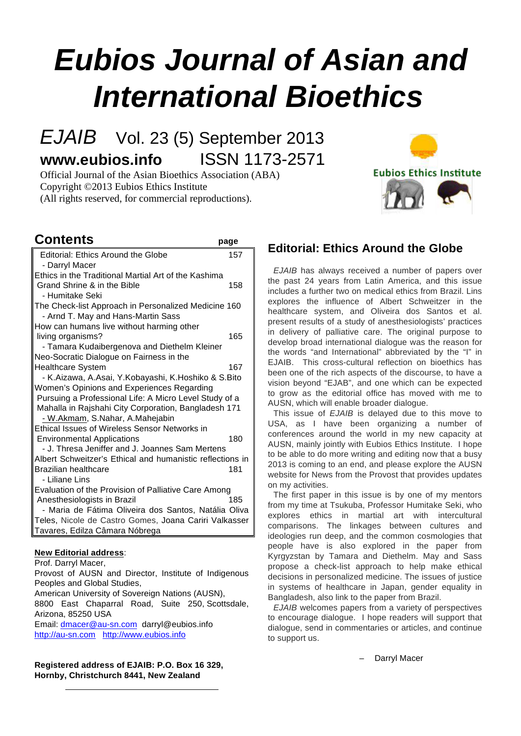# **Eubios Journal of Asian and International Bioethics**

# EJAIB Vol. 23 (5) September 2013 **www.eubios.info** ISSN 1173-2571

Official Journal of the Asian Bioethics Association (ABA) Copyright ©2013 Eubios Ethics Institute (All rights reserved, for commercial reproductions).

# **Contents page**

| Editorial: Ethics Around the Globe<br>- Darryl Macer      | 157 |
|-----------------------------------------------------------|-----|
| Ethics in the Traditional Martial Art of the Kashima      |     |
| Grand Shrine & in the Bible                               | 158 |
| - Humitake Seki                                           |     |
| The Check-list Approach in Personalized Medicine 160      |     |
| - Arnd T. May and Hans-Martin Sass                        |     |
| How can humans live without harming other                 |     |
| living organisms?                                         | 165 |
| - Tamara Kudaibergenova and Diethelm Kleiner              |     |
| Neo-Socratic Dialogue on Fairness in the                  |     |
| <b>Healthcare System</b>                                  | 167 |
| - K.Aizawa, A.Asai, Y.Kobayashi, K.Hoshiko & S.Bito       |     |
| Women's Opinions and Experiences Regarding                |     |
| Pursuing a Professional Life: A Micro Level Study of a    |     |
| Mahalla in Rajshahi City Corporation, Bangladesh 171      |     |
| - W.Akmam, S.Nahar, A.Mahejabin                           |     |
| <b>Ethical Issues of Wireless Sensor Networks in</b>      |     |
| <b>Environmental Applications</b>                         | 180 |
| - J. Thresa Jeniffer and J. Joannes Sam Mertens           |     |
| Albert Schweitzer's Ethical and humanistic reflections in |     |
| <b>Brazilian healthcare</b>                               | 181 |
| - Liliane Lins                                            |     |
| Evaluation of the Provision of Palliative Care Among      |     |
| Anesthesiologists in Brazil                               | 185 |
| - Maria de Fátima Oliveira dos Santos, Natália Oliva      |     |
| Teles, Nicole de Castro Gomes, Joana Cariri Valkasser     |     |
| Tavares, Edilza Câmara Nóbrega                            |     |
|                                                           |     |

# **New Editorial address**:

Prof. Darryl Macer,

Provost of AUSN and Director, Institute of Indigenous Peoples and Global Studies,

American University of Sovereign Nations (AUSN),

8800 East Chaparral Road, Suite 250, Scottsdale, Arizona, 85250 USA

Email: dmacer@au-sn.com darryl@eubios.info http://au-sn.com http://www.eubios.info

**Registered address of EJAIB: P.O. Box 16 329, Hornby, Christchurch 8441, New Zealand**

# **Editorial: Ethics Around the Globe**

**Eubios Ethics Institute** 

EJAIB has always received a number of papers over the past 24 years from Latin America, and this issue includes a further two on medical ethics from Brazil. Lins explores the influence of Albert Schweitzer in the healthcare system, and Oliveira dos Santos et al. present results of a study of anesthesiologists' practices in delivery of palliative care. The original purpose to develop broad international dialogue was the reason for the words "and International" abbreviated by the "I" in EJAIB. This cross-cultural reflection on bioethics has been one of the rich aspects of the discourse, to have a vision beyond "EJAB", and one which can be expected to grow as the editorial office has moved with me to AUSN, which will enable broader dialogue.

This issue of EJAIB is delayed due to this move to USA, as I have been organizing a number of conferences around the world in my new capacity at AUSN, mainly jointly with Eubios Ethics Institute. I hope to be able to do more writing and editing now that a busy 2013 is coming to an end, and please explore the AUSN website for News from the Provost that provides updates on my activities.

The first paper in this issue is by one of my mentors from my time at Tsukuba, Professor Humitake Seki, who explores ethics in martial art with intercultural comparisons. The linkages between cultures and ideologies run deep, and the common cosmologies that people have is also explored in the paper from Kyrgyzstan by Tamara and Diethelm. May and Sass propose a check-list approach to help make ethical decisions in personalized medicine. The issues of justice in systems of healthcare in Japan, gender equality in Bangladesh, also link to the paper from Brazil.

EJAIB welcomes papers from a variety of perspectives to encourage dialogue. I hope readers will support that dialogue, send in commentaries or articles, and continue to support us.

– Darryl Macer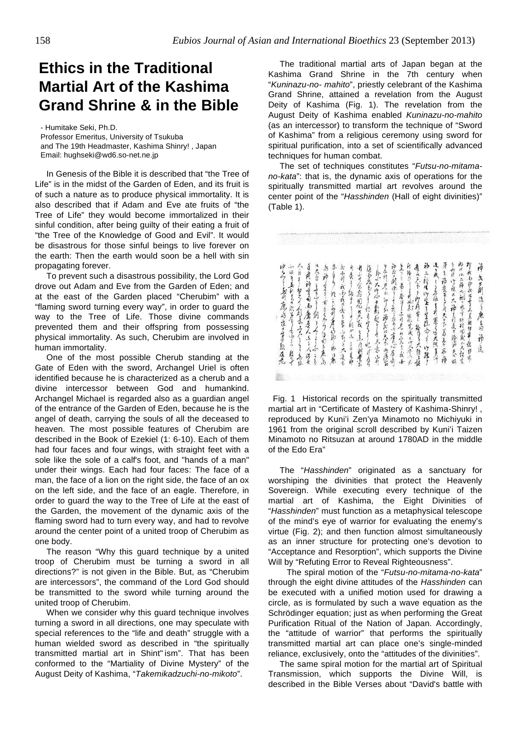# **Ethics in the Traditional Martial Art of the Kashima Grand Shrine & in the Bible**

- Humitake Seki, Ph.D. Professor Emeritus, University of Tsukuba and The 19th Headmaster, Kashima Shinry! , Japan Email: hughseki@wd6.so-net.ne.jp

In Genesis of the Bible it is described that "the Tree of Life" is in the midst of the Garden of Eden, and its fruit is of such a nature as to produce physical immortality. It is also described that if Adam and Eve ate fruits of "the Tree of Life" they would become immortalized in their sinful condition, after being guilty of their eating a fruit of "the Tree of the Knowledge of Good and Evil". It would be disastrous for those sinful beings to live forever on the earth: Then the earth would soon be a hell with sin propagating forever.

To prevent such a disastrous possibility, the Lord God drove out Adam and Eve from the Garden of Eden; and at the east of the Garden placed "Cherubim" with a "flaming sword turning every way", in order to guard the way to the Tree of Life. Those divine commands prevented them and their offspring from possessing physical immortality. As such, Cherubim are involved in human immortality.

One of the most possible Cherub standing at the Gate of Eden with the sword, Archangel Uriel is often identified because he is characterized as a cherub and a divine intercessor between God and humankind. Archangel Michael is regarded also as a guardian angel of the entrance of the Garden of Eden, because he is the angel of death, carrying the souls of all the deceased to heaven. The most possible features of Cherubim are described in the Book of Ezekiel (1: 6-10). Each of them had four faces and four wings, with straight feet with a sole like the sole of a calf's foot, and "hands of a man" under their wings. Each had four faces: The face of a man, the face of a lion on the right side, the face of an ox on the left side, and the face of an eagle. Therefore, in order to guard the way to the Tree of Life at the east of the Garden, the movement of the dynamic axis of the flaming sword had to turn every way, and had to revolve around the center point of a united troop of Cherubim as one body.

The reason "Why this guard technique by a united troop of Cherubim must be turning a sword in all directions?" is not given in the Bible. But, as "Cherubim are intercessors", the command of the Lord God should be transmitted to the sword while turning around the united troop of Cherubim.

When we consider why this guard technique involves turning a sword in all directions, one may speculate with special references to the "life and death" struggle with a human wielded sword as described in "the spiritually transmitted martial art in Shint" ism". That has been conformed to the "Martiality of Divine Mystery" of the August Deity of Kashima, "Takemikadzuchi-no-mikoto".

The traditional martial arts of Japan began at the Kashima Grand Shrine in the 7th century when "Kuninazu-no- mahito", priestly celebrant of the Kashima Grand Shrine, attained a revelation from the August Deity of Kashima (Fig. 1). The revelation from the August Deity of Kashima enabled Kuninazu-no-mahito (as an intercessor) to transform the technique of "Sword of Kashima" from a religious ceremony using sword for spiritual purification, into a set of scientifically advanced techniques for human combat.

The set of techniques constitutes "Futsu-no-mitamano-kata": that is, the dynamic axis of operations for the spiritually transmitted martial art revolves around the center point of the "Hasshinden (Hall of eight divinities)" (Table 1).

送り成しると伝す利用する天照美術  $\frac{3}{4}$ **海水以二种大动了大千转程用成化大程素** を前が言める唐を入らくはれたかきます。 神三種生物生を生存命す 在去原作理长大神 引度中轮回表 报 升降2─→升心新 用化党成≠EK等小长 中午了一面可席的夜节等就及老 小脑有五利了日的方向了生 スカミーねえてかる うたそうとき 赤 あふれ 我子的女孩子等 与前三大连儿 升要了 酒辛 りょうちありん さんま きしりのます たちなもうう 至了,看,给了,去到是的爱,我还 再上六年,12月午 给了大都是  $\tilde{\epsilon}$ 我的沙然好千三岁跑行单 保伊族 うらいこうかない 文为问 医人座上的 神意言~~~天气若善石神 ~~ 行かふらは見印 化月空了九川的 祎 Å 的过去 ウンタケ 雇  $\frac{1}{2}$ 

 Fig. 1 Historical records on the spiritually transmitted martial art in "Certificate of Mastery of Kashima-Shinry! , reproduced by Kuni'i Zen'ya Minamoto no Michiyuki in 1961 from the original scroll described by Kuni'i Taizen Minamoto no Ritsuzan at around 1780AD in the middle of the Edo Era"

The "Hasshinden" originated as a sanctuary for worshiping the divinities that protect the Heavenly Sovereign. While executing every technique of the martial art of Kashima, the Eight Divinities of "Hasshinden" must function as a metaphysical telescope of the mind's eye of warrior for evaluating the enemy's virtue (Fig. 2); and then function almost simultaneously as an inner structure for protecting one's devotion to "Acceptance and Resorption", which supports the Divine Will by "Refuting Error to Reveal Righteousness".

The spiral motion of the "Futsu-no-mitama-no-kata" through the eight divine attitudes of the Hasshinden can be executed with a unified motion used for drawing a circle, as is formulated by such a wave equation as the Schrödinger equation; just as when performing the Great Purification Ritual of the Nation of Japan. Accordingly, the "attitude of warrior" that performs the spiritually transmitted martial art can place one's single-minded reliance, exclusively, onto the "attitudes of the divinities".

The same spiral motion for the martial art of Spiritual Transmission, which supports the Divine Will, is described in the Bible Verses about "David's battle with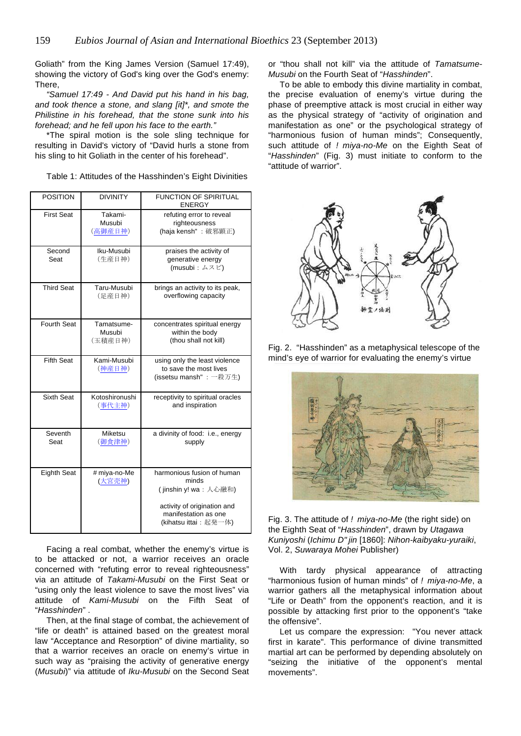Goliath" from the King James Version (Samuel 17:49), showing the victory of God's king over the God's enemy: There,

"Samuel 17:49 - And David put his hand in his bag, and took thence a stone, and slang [it]\*, and smote the Philistine in his forehead, that the stone sunk into his forehead; and he fell upon his face to the earth."

\*The spiral motion is the sole sling technique for resulting in David's victory of "David hurls a stone from his sling to hit Goliath in the center of his forehead".

Table 1: Attitudes of the Hasshinden's Eight Divinities

| <b>POSITION</b>    | <b>DIVINITY</b>                 | <b>FUNCTION OF SPIRITUAL</b><br><b>ENERGY</b>                                                                                                |
|--------------------|---------------------------------|----------------------------------------------------------------------------------------------------------------------------------------------|
| <b>First Seat</b>  | Takami-<br>Musubi<br>(高御産日神)    | refuting error to reveal<br>righteousness<br>(haja kensh": 破邪顕正)                                                                             |
| Second<br>Seat     | Iku-Musubi<br>(牛産日神)            | praises the activity of<br>generative energy<br>$(musubi: \triangle \times E')$                                                              |
| <b>Third Seat</b>  | Taru-Musubi<br>(足産日神)           | brings an activity to its peak,<br>overflowing capacity                                                                                      |
| <b>Fourth Seat</b> | Tamatsume-<br>Musubi<br>(玉積産日神) | concentrates spiritual energy<br>within the body<br>(thou shall not kill)                                                                    |
| <b>Fifth Seat</b>  | Kami-Musubi<br>(神産日神)           | using only the least violence<br>to save the most lives<br>(issetsu mansh": 一殺万生)                                                            |
| Sixth Seat         | Kotoshironushi<br>(事代主神)        | receptivity to spiritual oracles<br>and inspiration                                                                                          |
| Seventh<br>Seat    | Miketsu<br>(御食津神)               | a divinity of food: i.e., energy<br>supply                                                                                                   |
| <b>Eighth Seat</b> | # miya-no-Me<br>(大宮売神)          | harmonious fusion of human<br>minds<br>(jinshin y! wa: 人心融和)<br>activity of origination and<br>manifestation as one<br>(kihatsu ittai: 起発一体) |

Facing a real combat, whether the enemy's virtue is to be attacked or not, a warrior receives an oracle concerned with "refuting error to reveal righteousness" via an attitude of Takami-Musubi on the First Seat or "using only the least violence to save the most lives" via attitude of Kami-Musubi on the Fifth Seat of "Hasshinden" .

Then, at the final stage of combat, the achievement of "life or death" is attained based on the greatest moral law "Acceptance and Resorption" of divine martiality, so that a warrior receives an oracle on enemy's virtue in such way as "praising the activity of generative energy (Musubi)" via attitude of Iku-Musubi on the Second Seat or "thou shall not kill" via the attitude of Tamatsume-Musubi on the Fourth Seat of "Hasshinden".

To be able to embody this divine martiality in combat, the precise evaluation of enemy's virtue during the phase of preemptive attack is most crucial in either way as the physical strategy of "activity of origination and manifestation as one" or the psychological strategy of "harmonious fusion of human minds"; Consequently, such attitude of ! miya-no-Me on the Eighth Seat of "Hasshinden" (Fig. 3) must initiate to conform to the "attitude of warrior".



Fig. 2. "Hasshinden" as a metaphysical telescope of the mind's eye of warrior for evaluating the enemy's virtue



Fig. 3. The attitude of ! miya-no-Me (the right side) on the Eighth Seat of "Hasshinden", drawn by Utagawa Kuniyoshi (Ichimu D" jin [1860]: Nihon-kaibyaku-yuraiki, Vol. 2, Suwaraya Mohei Publisher)

With tardy physical appearance of attracting "harmonious fusion of human minds" of ! miya-no-Me, a warrior gathers all the metaphysical information about "Life or Death" from the opponent's reaction, and it is possible by attacking first prior to the opponent's "take the offensive".

Let us compare the expression: "You never attack first in karate". This performance of divine transmitted martial art can be performed by depending absolutely on "seizing the initiative of the opponent's mental movements".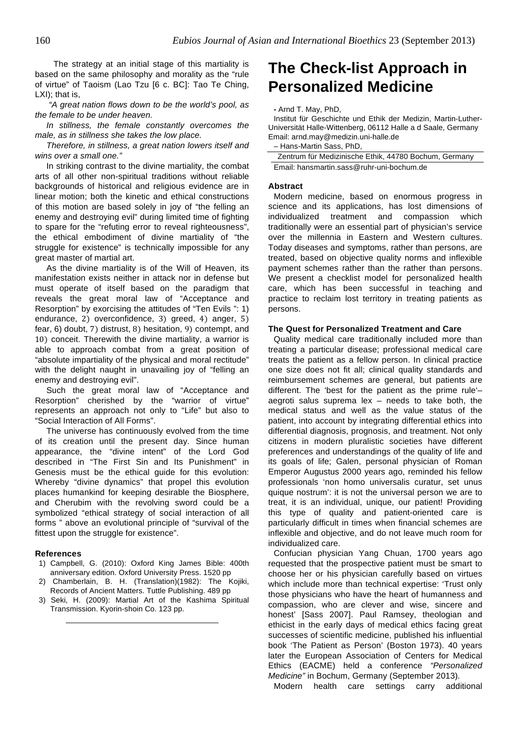The strategy at an initial stage of this martiality is based on the same philosophy and morality as the "rule of virtue" of Taoism (Lao Tzu [6 c. BC]: Tao Te Ching, LXI); that is,

"A great nation flows down to be the world's pool, as the female to be under heaven.

In stillness, the female constantly overcomes the male, as in stillness she takes the low place.

Therefore, in stillness, a great nation lowers itself and wins over a small one."

In striking contrast to the divine martiality, the combat arts of all other non-spiritual traditions without reliable backgrounds of historical and religious evidence are in linear motion; both the kinetic and ethical constructions of this motion are based solely in joy of "the felling an enemy and destroying evil" during limited time of fighting to spare for the "refuting error to reveal righteousness", the ethical embodiment of divine martiality of "the struggle for existence" is technically impossible for any great master of martial art.

As the divine martiality is of the Will of Heaven, its manifestation exists neither in attack nor in defense but must operate of itself based on the paradigm that reveals the great moral law of "Acceptance and Resorption" by exorcising the attitudes of "Ten Evils ": 1) endurance, 2) overconfidence, 3) greed, 4) anger,  $5$ ) fear, 6) doubt, 7) distrust, 8) hesitation, 9) contempt, and 10) conceit. Therewith the divine martiality, a warrior is able to approach combat from a great position of "absolute impartiality of the physical and moral rectitude" with the delight naught in unavailing joy of "felling an enemy and destroying evil".

Such the great moral law of "Acceptance and Resorption" cherished by the "warrior of virtue" represents an approach not only to "Life" but also to "Social Interaction of All Forms".

The universe has continuously evolved from the time of its creation until the present day. Since human appearance, the "divine intent" of the Lord God described in "The First Sin and Its Punishment" in Genesis must be the ethical guide for this evolution: Whereby "divine dynamics" that propel this evolution places humankind for keeping desirable the Biosphere, and Cherubim with the revolving sword could be a symbolized "ethical strategy of social interaction of all forms " above an evolutional principle of "survival of the fittest upon the struggle for existence".

#### **References**

- 1) Campbell, G. (2010): Oxford King James Bible: 400th anniversary edition. Oxford University Press. 1520 pp
- 2) Chamberlain, B. H. (Translation)(1982): The Kojiki, Records of Ancient Matters. Tuttle Publishing. 489 pp
- 3) Seki, H. (2009): Martial Art of the Kashima Spiritual Transmission. Kyorin-shoin Co. 123 pp.

# **The Check-list Approach in Personalized Medicine**

#### **-** Arnd T. May, PhD,

Institut für Geschichte und Ethik der Medizin, Martin-Luther-Universität Halle-Wittenberg, 06112 Halle a d Saale, Germany Email: arnd.may@medizin.uni-halle.de

– Hans-Martin Sass, PhD,

Zentrum für Medizinische Ethik, 44780 Bochum, Germany Email: hansmartin.sass@ruhr-uni-bochum.de

#### **Abstract**

Modern medicine, based on enormous progress in science and its applications, has lost dimensions of individualized treatment and compassion which traditionally were an essential part of physician's service over the millennia in Eastern and Western cultures. Today diseases and symptoms, rather than persons, are treated, based on objective quality norms and inflexible payment schemes rather than the rather than persons. We present a checklist model for personalized health care, which has been successful in teaching and practice to reclaim lost territory in treating patients as persons.

### **The Quest for Personalized Treatment and Care**

Quality medical care traditionally included more than treating a particular disease; professional medical care treats the patient as a fellow person. In clinical practice one size does not fit all; clinical quality standards and reimbursement schemes are general, but patients are different. The 'best for the patient as the prime rule'– aegroti salus suprema lex – needs to take both, the medical status and well as the value status of the patient, into account by integrating differential ethics into differential diagnosis, prognosis, and treatment. Not only citizens in modern pluralistic societies have different preferences and understandings of the quality of life and its goals of life; Galen, personal physician of Roman Emperor Augustus 2000 years ago, reminded his fellow professionals 'non homo universalis curatur, set unus quique nostrum': it is not the universal person we are to treat, it is an individual, unique, our patient! Providing this type of quality and patient-oriented care is particularly difficult in times when financial schemes are inflexible and objective, and do not leave much room for individualized care.

Confucian physician Yang Chuan, 1700 years ago requested that the prospective patient must be smart to choose her or his physician carefully based on virtues which include more than technical expertise: 'Trust only those physicians who have the heart of humanness and compassion, who are clever and wise, sincere and honest' [Sass 2007]. Paul Ramsey, theologian and ethicist in the early days of medical ethics facing great successes of scientific medicine, published his influential book 'The Patient as Person' (Boston 1973). 40 years later the European Association of Centers for Medical Ethics (EACME) held a conference "Personalized Medicine" in Bochum, Germany (September 2013).

Modern health care settings carry additional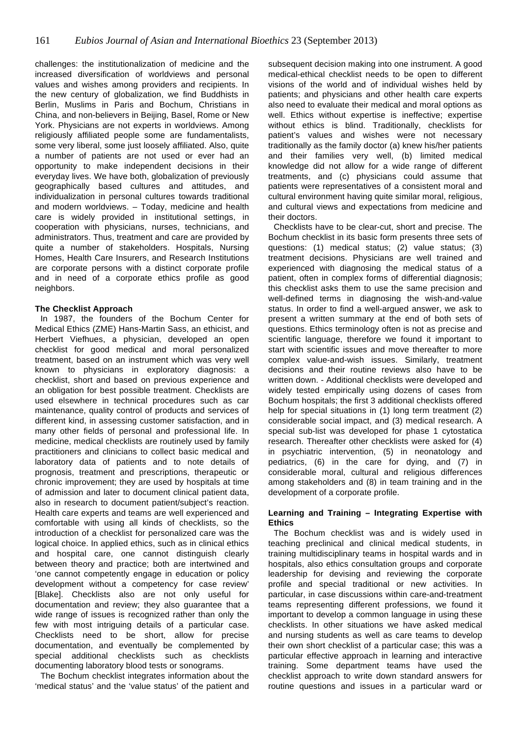challenges: the institutionalization of medicine and the increased diversification of worldviews and personal values and wishes among providers and recipients. In the new century of globalization, we find Buddhists in Berlin, Muslims in Paris and Bochum, Christians in China, and non-believers in Beijing, Basel, Rome or New York. Physicians are not experts in worldviews. Among religiously affiliated people some are fundamentalists, some very liberal, some just loosely affiliated. Also, quite a number of patients are not used or ever had an opportunity to make independent decisions in their everyday lives. We have both, globalization of previously geographically based cultures and attitudes, and individualization in personal cultures towards traditional and modern worldviews. – Today, medicine and health care is widely provided in institutional settings, in cooperation with physicians, nurses, technicians, and administrators. Thus, treatment and care are provided by quite a number of stakeholders. Hospitals, Nursing Homes, Health Care Insurers, and Research Institutions are corporate persons with a distinct corporate profile and in need of a corporate ethics profile as good neighbors.

# **The Checklist Approach**

In 1987, the founders of the Bochum Center for Medical Ethics (ZME) Hans-Martin Sass, an ethicist, and Herbert Viefhues, a physician, developed an open checklist for good medical and moral personalized treatment, based on an instrument which was very well known to physicians in exploratory diagnosis: a checklist, short and based on previous experience and an obligation for best possible treatment. Checklists are used elsewhere in technical procedures such as car maintenance, quality control of products and services of different kind, in assessing customer satisfaction, and in many other fields of personal and professional life. In medicine, medical checklists are routinely used by family practitioners and clinicians to collect basic medical and laboratory data of patients and to note details of prognosis, treatment and prescriptions, therapeutic or chronic improvement; they are used by hospitals at time of admission and later to document clinical patient data, also in research to document patient/subject's reaction. Health care experts and teams are well experienced and comfortable with using all kinds of checklists, so the introduction of a checklist for personalized care was the logical choice. In applied ethics, such as in clinical ethics and hospital care, one cannot distinguish clearly between theory and practice; both are intertwined and 'one cannot competently engage in education or policy development without a competency for case review' [Blake]. Checklists also are not only useful for documentation and review; they also guarantee that a wide range of issues is recognized rather than only the few with most intriguing details of a particular case. Checklists need to be short, allow for precise documentation, and eventually be complemented by special additional checklists such as checklists documenting laboratory blood tests or sonograms.

The Bochum checklist integrates information about the 'medical status' and the 'value status' of the patient and subsequent decision making into one instrument. A good medical-ethical checklist needs to be open to different visions of the world and of individual wishes held by patients; and physicians and other health care experts also need to evaluate their medical and moral options as well. Ethics without expertise is ineffective; expertise without ethics is blind. Traditionally, checklists for patient's values and wishes were not necessary traditionally as the family doctor (a) knew his/her patients and their families very well, (b) limited medical knowledge did not allow for a wide range of different treatments, and (c) physicians could assume that patients were representatives of a consistent moral and cultural environment having quite similar moral, religious, and cultural views and expectations from medicine and their doctors.

Checklists have to be clear-cut, short and precise. The Bochum checklist in its basic form presents three sets of questions: (1) medical status; (2) value status; (3) treatment decisions. Physicians are well trained and experienced with diagnosing the medical status of a patient, often in complex forms of differential diagnosis; this checklist asks them to use the same precision and well-defined terms in diagnosing the wish-and-value status. In order to find a well-argued answer, we ask to present a written summary at the end of both sets of questions. Ethics terminology often is not as precise and scientific language, therefore we found it important to start with scientific issues and move thereafter to more complex value-and-wish issues. Similarly, treatment decisions and their routine reviews also have to be written down. - Additional checklists were developed and widely tested empirically using dozens of cases from Bochum hospitals; the first 3 additional checklists offered help for special situations in (1) long term treatment (2) considerable social impact, and (3) medical research. A special sub-list was developed for phase 1 cytostatica research. Thereafter other checklists were asked for (4) in psychiatric intervention, (5) in neonatology and pediatrics, (6) in the care for dying, and (7) in considerable moral, cultural and religious differences among stakeholders and (8) in team training and in the development of a corporate profile.

# **Learning and Training – Integrating Expertise with Ethics**

The Bochum checklist was and is widely used in teaching preclinical and clinical medical students, in training multidisciplinary teams in hospital wards and in hospitals, also ethics consultation groups and corporate leadership for devising and reviewing the corporate profile and special traditional or new activities. In particular, in case discussions within care-and-treatment teams representing different professions, we found it important to develop a common language in using these checklists. In other situations we have asked medical and nursing students as well as care teams to develop their own short checklist of a particular case; this was a particular effective approach in learning and interactive training. Some department teams have used the checklist approach to write down standard answers for routine questions and issues in a particular ward or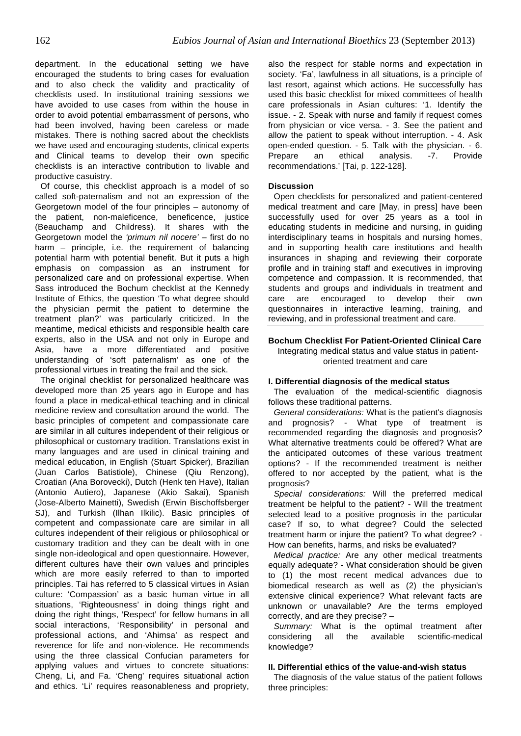department. In the educational setting we have encouraged the students to bring cases for evaluation and to also check the validity and practicality of checklists used. In institutional training sessions we have avoided to use cases from within the house in order to avoid potential embarrassment of persons, who had been involved, having been careless or made mistakes. There is nothing sacred about the checklists we have used and encouraging students, clinical experts and Clinical teams to develop their own specific checklists is an interactive contribution to livable and productive casuistry.

Of course, this checklist approach is a model of so called soft-paternalism and not an expression of the Georgetown model of the four principles – autonomy of the patient, non-maleficence, beneficence, justice (Beauchamp and Childress). It shares with the Georgetown model the 'primum nil nocere' – first do no harm – principle, i.e. the requirement of balancing potential harm with potential benefit. But it puts a high emphasis on compassion as an instrument for personalized care and on professional expertise. When Sass introduced the Bochum checklist at the Kennedy Institute of Ethics, the question 'To what degree should the physician permit the patient to determine the treatment plan?' was particularly criticized. In the meantime, medical ethicists and responsible health care experts, also in the USA and not only in Europe and Asia, have a more differentiated and positive understanding of 'soft paternalism' as one of the professional virtues in treating the frail and the sick.

The original checklist for personalized healthcare was developed more than 25 years ago in Europe and has found a place in medical-ethical teaching and in clinical medicine review and consultation around the world. The basic principles of competent and compassionate care are similar in all cultures independent of their religious or philosophical or customary tradition. Translations exist in many languages and are used in clinical training and medical education, in English (Stuart Spicker), Brazilian (Juan Carlos Batistiole), Chinese (Qiu Renzong), Croatian (Ana Borovecki), Dutch (Henk ten Have), Italian (Antonio Autiero), Japanese (Akio Sakai), Spanish (Jose-Alberto Mainetti), Swedish (Erwin Bischoffsberger SJ), and Turkish (Ilhan Ilkilic). Basic principles of competent and compassionate care are similar in all cultures independent of their religious or philosophical or customary tradition and they can be dealt with in one single non-ideological and open questionnaire. However, different cultures have their own values and principles which are more easily referred to than to imported principles. Tai has referred to 5 classical virtues in Asian culture: 'Compassion' as a basic human virtue in all situations, 'Righteousness' in doing things right and doing the right things, 'Respect' for fellow humans in all social interactions, 'Responsibility' in personal and professional actions, and 'Ahimsa' as respect and reverence for life and non-violence. He recommends using the three classical Confucian parameters for applying values and virtues to concrete situations: Cheng, Li, and Fa. 'Cheng' requires situational action and ethics. 'Li' requires reasonableness and propriety,

also the respect for stable norms and expectation in society. 'Fa', lawfulness in all situations, is a principle of last resort, against which actions. He successfully has used this basic checklist for mixed committees of health care professionals in Asian cultures: '1. Identify the issue. - 2. Speak with nurse and family if request comes from physician or vice versa. - 3. See the patient and allow the patient to speak without interruption. - 4. Ask open-ended question. - 5. Talk with the physician. - 6. Prepare an ethical analysis. -7. Provide recommendations.' [Tai, p. 122-128].

#### **Discussion**

Open checklists for personalized and patient-centered medical treatment and care [May, in press] have been successfully used for over 25 years as a tool in educating students in medicine and nursing, in guiding interdisciplinary teams in hospitals and nursing homes, and in supporting health care institutions and health insurances in shaping and reviewing their corporate profile and in training staff and executives in improving competence and compassion. It is recommended, that students and groups and individuals in treatment and care are encouraged to develop their own questionnaires in interactive learning, training, and reviewing, and in professional treatment and care.

# **Bochum Checklist For Patient-Oriented Clinical Care**

# Integrating medical status and value status in patientoriented treatment and care

#### **I. Differential diagnosis of the medical status**

The evaluation of the medical-scientific diagnosis follows these traditional patterns.

General considerations: What is the patient's diagnosis and prognosis? - What type of treatment is recommended regarding the diagnosis and prognosis? What alternative treatments could be offered? What are the anticipated outcomes of these various treatment options? - If the recommended treatment is neither offered to nor accepted by the patient, what is the prognosis?

Special considerations: Will the preferred medical treatment be helpful to the patient? - Will the treatment selected lead to a positive prognosis in the particular case? If so, to what degree? Could the selected treatment harm or injure the patient? To what degree? - How can benefits, harms, and risks be evaluated?

Medical practice: Are any other medical treatments equally adequate? - What consideration should be given to (1) the most recent medical advances due to biomedical research as well as (2) the physician's extensive clinical experience? What relevant facts are unknown or unavailable? Are the terms employed correctly, and are they precise? –

Summary: What is the optimal treatment after considering all the available scientific-medical knowledge?

### **II. Differential ethics of the value-and-wish status**

The diagnosis of the value status of the patient follows three principles: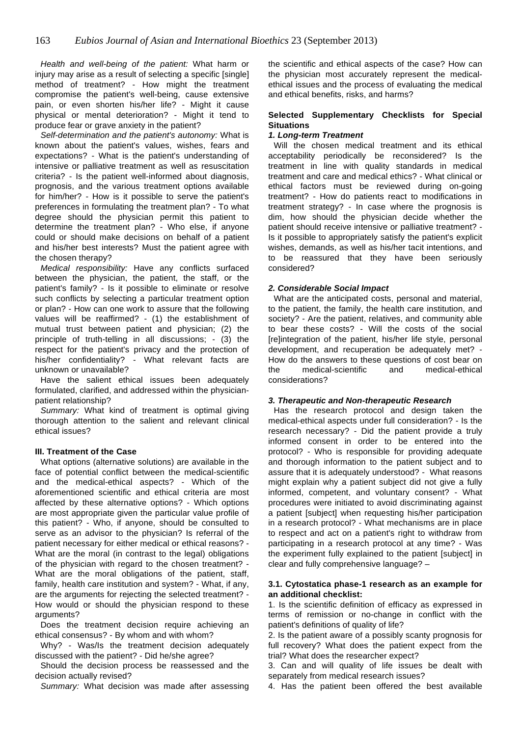Health and well-being of the patient: What harm or injury may arise as a result of selecting a specific [single] method of treatment? - How might the treatment compromise the patient's well-being, cause extensive pain, or even shorten his/her life? - Might it cause physical or mental deterioration? - Might it tend to produce fear or grave anxiety in the patient?

Self-determination and the patient's autonomy: What is known about the patient's values, wishes, fears and expectations? - What is the patient's understanding of intensive or palliative treatment as well as resuscitation criteria? - Is the patient well-informed about diagnosis, prognosis, and the various treatment options available for him/her? - How is it possible to serve the patient's preferences in formulating the treatment plan? - To what degree should the physician permit this patient to determine the treatment plan? - Who else, if anyone could or should make decisions on behalf of a patient and his/her best interests? Must the patient agree with the chosen therapy?

Medical responsibility: Have any conflicts surfaced between the physician, the patient, the staff, or the patient's family? - Is it possible to eliminate or resolve such conflicts by selecting a particular treatment option or plan? - How can one work to assure that the following values will be reaffirmed? - (1) the establishment of mutual trust between patient and physician; (2) the principle of truth-telling in all discussions; - (3) the respect for the patient's privacy and the protection of his/her confidentiality? - What relevant facts are unknown or unavailable?

Have the salient ethical issues been adequately formulated, clarified, and addressed within the physicianpatient relationship?

Summary: What kind of treatment is optimal giving thorough attention to the salient and relevant clinical ethical issues?

# **III. Treatment of the Case**

What options (alternative solutions) are available in the face of potential conflict between the medical-scientific and the medical-ethical aspects? - Which of the aforementioned scientific and ethical criteria are most affected by these alternative options? - Which options are most appropriate given the particular value profile of this patient? - Who, if anyone, should be consulted to serve as an advisor to the physician? Is referral of the patient necessary for either medical or ethical reasons? - What are the moral (in contrast to the legal) obligations of the physician with regard to the chosen treatment? - What are the moral obligations of the patient, staff, family, health care institution and system? - What, if any, are the arguments for rejecting the selected treatment? - How would or should the physician respond to these arguments?

Does the treatment decision require achieving an ethical consensus? - By whom and with whom?

Why? - Was/Is the treatment decision adequately discussed with the patient? - Did he/she agree?

Should the decision process be reassessed and the decision actually revised?

Summary: What decision was made after assessing

the scientific and ethical aspects of the case? How can the physician most accurately represent the medicalethical issues and the process of evaluating the medical and ethical benefits, risks, and harms?

# **Selected Supplementary Checklists for Special Situations**

# **1. Long-term Treatment**

Will the chosen medical treatment and its ethical acceptability periodically be reconsidered? Is the treatment in line with quality standards in medical treatment and care and medical ethics? - What clinical or ethical factors must be reviewed during on-going treatment? - How do patients react to modifications in treatment strategy? - In case where the prognosis is dim, how should the physician decide whether the patient should receive intensive or palliative treatment? - Is it possible to appropriately satisfy the patient's explicit wishes, demands, as well as his/her tacit intentions, and to be reassured that they have been seriously considered?

# **2. Considerable Social Impact**

What are the anticipated costs, personal and material, to the patient, the family, the health care institution, and society? - Are the patient, relatives, and community able to bear these costs? - Will the costs of the social [re]integration of the patient, his/her life style, personal development, and recuperation be adequately met? - How do the answers to these questions of cost bear on the medical-scientific and medical-ethical considerations?

# **3. Therapeutic and Non-therapeutic Research**

Has the research protocol and design taken the medical-ethical aspects under full consideration? - Is the research necessary? - Did the patient provide a truly informed consent in order to be entered into the protocol? - Who is responsible for providing adequate and thorough information to the patient subject and to assure that it is adequately understood? - What reasons might explain why a patient subject did not give a fully informed, competent, and voluntary consent? - What procedures were initiated to avoid discriminating against a patient [subject] when requesting his/her participation in a research protocol? - What mechanisms are in place to respect and act on a patient's right to withdraw from participating in a research protocol at any time? - Was the experiment fully explained to the patient [subject] in clear and fully comprehensive language? –

# **3.1. Cytostatica phase-1 research as an example for an additional checklist:**

1. Is the scientific definition of efficacy as expressed in terms of remission or no-change in conflict with the patient's definitions of quality of life?

2. Is the patient aware of a possibly scanty prognosis for full recovery? What does the patient expect from the trial? What does the researcher expect?

3. Can and will quality of life issues be dealt with separately from medical research issues?

4. Has the patient been offered the best available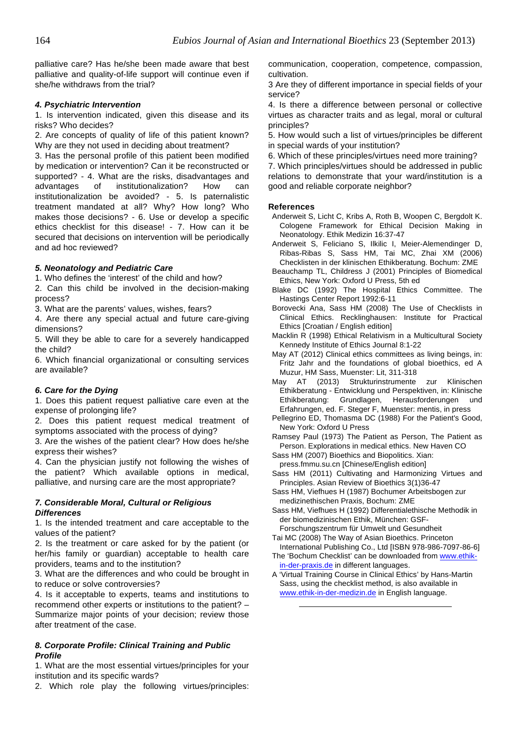palliative care? Has he/she been made aware that best palliative and quality-of-life support will continue even if she/he withdraws from the trial?

# **4. Psychiatric Intervention**

1. Is intervention indicated, given this disease and its risks? Who decides?

2. Are concepts of quality of life of this patient known? Why are they not used in deciding about treatment?

3. Has the personal profile of this patient been modified by medication or intervention? Can it be reconstructed or supported? - 4. What are the risks, disadvantages and advantages of institutionalization? How can institutionalization be avoided? - 5. Is paternalistic treatment mandated at all? Why? How long? Who makes those decisions? - 6. Use or develop a specific ethics checklist for this disease! - 7. How can it be secured that decisions on intervention will be periodically and ad hoc reviewed?

# **5. Neonatology and Pediatric Care**

1. Who defines the 'interest' of the child and how?

2. Can this child be involved in the decision-making process?

3. What are the parents' values, wishes, fears?

4. Are there any special actual and future care-giving dimensions?

5. Will they be able to care for a severely handicapped the child?

6. Which financial organizational or consulting services are available?

# **6. Care for the Dying**

1. Does this patient request palliative care even at the expense of prolonging life?

2. Does this patient request medical treatment of symptoms associated with the process of dying?

3. Are the wishes of the patient clear? How does he/she express their wishes?

4. Can the physician justify not following the wishes of the patient? Which available options in medical, palliative, and nursing care are the most appropriate?

# **7. Considerable Moral, Cultural or Religious Differences**

1. Is the intended treatment and care acceptable to the values of the patient?

2. Is the treatment or care asked for by the patient (or her/his family or guardian) acceptable to health care providers, teams and to the institution?

3. What are the differences and who could be brought in to reduce or solve controversies?

4. Is it acceptable to experts, teams and institutions to recommend other experts or institutions to the patient? – Summarize major points of your decision; review those after treatment of the case.

# **8. Corporate Profile: Clinical Training and Public Profile**

1. What are the most essential virtues/principles for your institution and its specific wards?

2. Which role play the following virtues/principles:

communication, cooperation, competence, compassion, cultivation.

3 Are they of different importance in special fields of your service?

4. Is there a difference between personal or collective virtues as character traits and as legal, moral or cultural principles?

5. How would such a list of virtues/principles be different in special wards of your institution?

6. Which of these principles/virtues need more training?

7. Which principles/virtues should be addressed in public relations to demonstrate that your ward/institution is a good and reliable corporate neighbor?

# **References**

- Anderweit S, Licht C, Kribs A, Roth B, Woopen C, Bergdolt K. Cologene Framework for Ethical Decision Making in Neonatology. Ethik Medizin 16:37-47
- Anderweit S, Feliciano S, Ilkilic I, Meier-Alemendinger D, Ribas-Ribas S, Sass HM, Tai MC, Zhai XM (2006) Checklisten in der klinischen Ethikberatung. Bochum: ZME
- Beauchamp TL, Childress J (2001) Principles of Biomedical Ethics, New York: Oxford U Press, 5th ed
- Blake DC (1992) The Hospital Ethics Committee. The Hastings Center Report 1992:6-11
- Borovecki Ana, Sass HM (2008) The Use of Checklists in Clinical Ethics. Recklinghausen: Institute for Practical Ethics [Croatian / English edition]
- Macklin R (1998) Ethical Relativism in a Multicultural Society Kennedy Institute of Ethics Journal 8:1-22
- May AT (2012) Clinical ethics committees as living beings, in: Fritz Jahr and the foundations of global bioethics, ed A Muzur, HM Sass, Muenster: Lit, 311-318
- May AT (2013) Strukturinstrumente zur Klinischen Ethikberatung - Entwicklung und Perspektiven, in: Klinische Ethikberatung: Grundlagen, Herausforderungen und Erfahrungen, ed. F. Steger F, Muenster: mentis, in press
- Pellegrino ED, Thomasma DC (1988) For the Patient's Good, New York: Oxford U Press

Ramsey Paul (1973) The Patient as Person, The Patient as Person. Explorations in medical ethics. New Haven CO

Sass HM (2007) Bioethics and Biopolitics. Xian: press.fmmu.su.cn [Chinese/English edition]

Sass HM (2011) Cultivating and Harmonizing Virtues and Principles. Asian Review of Bioethics 3(1)36-47

- Sass HM, Viefhues H (1987) Bochumer Arbeitsbogen zur medizinethischen Praxis, Bochum: ZME
- Sass HM, Viefhues H (1992) Differentialethische Methodik in der biomedizinischen Ethik, München: GSF-Forschungszentrum für Umwelt und Gesundheit

Tai MC (2008) The Way of Asian Bioethics. Princeton

- International Publishing Co., Ltd [ISBN 978-986-7097-86-6] The 'Bochum Checklist' can be downloaded from www.ethikin-der-praxis.de in different languages.
- A 'Virtual Training Course in Clinical Ethics' by Hans-Martin Sass, using the checklist method, is also available in www.ethik-in-der-medizin.de in English language.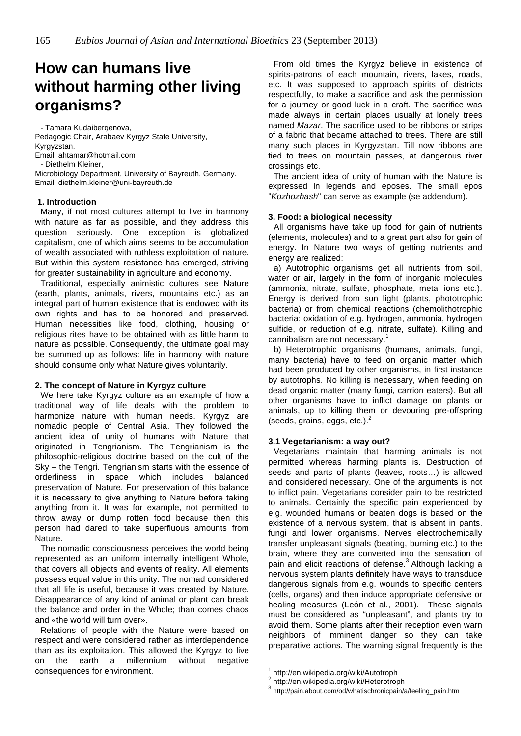# **How can humans live without harming other living organisms?**

- Tamara Kudaibergenova, Pedagogic Chair, Arabaev Kyrgyz State University, Kyrgyzstan. Email: ahtamar@hotmail.com - Diethelm Kleiner, Microbiology Department, University of Bayreuth, Germany. Email: diethelm.kleiner@uni-bayreuth.de

# **1. Introduction**

Many, if not most cultures attempt to live in harmony with nature as far as possible, and they address this question seriously. One exception is globalized capitalism, one of which aims seems to be accumulation of wealth associated with ruthless exploitation of nature. But within this system resistance has emerged, striving for greater sustainability in agriculture and economy.

Traditional, especially animistic cultures see Nature (earth, plants, animals, rivers, mountains etc.) as an integral part of human existence that is endowed with its own rights and has to be honored and preserved. Human necessities like food, clothing, housing or religious rites have to be obtained with as little harm to nature as possible. Consequently, the ultimate goal may be summed up as follows: life in harmony with nature should consume only what Nature gives voluntarily.

# **2. The concept of Nature in Kyrgyz culture**

We here take Kyrgyz culture as an example of how a traditional way of life deals with the problem to harmonize nature with human needs. Kyrgyz are nomadic people of Central Asia. They followed the ancient idea of unity of humans with Nature that originated in Tengrianism. The Tengrianism is the philosophic-religious doctrine based on the cult of the Sky – the Tengri. Tengrianism starts with the essence of orderliness in space which includes balanced preservation of Nature. For preservation of this balance it is necessary to give anything to Nature before taking anything from it. It was for example, not permitted to throw away or dump rotten food because then this person had dared to take superfluous amounts from Nature.

The nomadic consciousness perceives the world being represented as an uniform internally intelligent Whole, that covers all objects and events of reality. All elements possess equal value in this unity. The nomad considered that all life is useful, because it was created by Nature. Disappearance of any kind of animal or plant can break the balance and order in the Whole; than comes chaos and «the world will turn over».

Relations of people with the Nature were based on respect and were considered rather as interdependence than as its exploitation. This allowed the Kyrgyz to live on the earth a millennium without negative consequences for environment.

From old times the Kyrgyz believe in existence of spirits-patrons of each mountain, rivers, lakes, roads, etc. It was supposed to approach spirits of districts respectfully, to make a sacrifice and ask the permission for a journey or good luck in a craft. The sacrifice was made always in certain places usually at lonely trees named Mazar. The sacrifice used to be ribbons or strips of a fabric that became attached to trees. There are still many such places in Kyrgyzstan. Till now ribbons are tied to trees on mountain passes, at dangerous river crossings etc.

The ancient idea of unity of human with the Nature is expressed in legends and eposes. The small epos "Kozhozhash" can serve as example (se addendum).

# **3. Food: a biological necessity**

All organisms have take up food for gain of nutrients (elements, molecules) and to a great part also for gain of energy. In Nature two ways of getting nutrients and energy are realized:

a) Autotrophic organisms get all nutrients from soil, water or air, largely in the form of inorganic molecules (ammonia, nitrate, sulfate, phosphate, metal ions etc.). Energy is derived from sun light (plants, phototrophic bacteria) or from chemical reactions (chemolithotrophic bacteria: oxidation of e.g. hydrogen, ammonia, hydrogen sulfide, or reduction of e.g. nitrate, sulfate). Killing and cannibalism are not necessary. 1

b) Heterotrophic organisms (humans, animals, fungi, many bacteria) have to feed on organic matter which had been produced by other organisms, in first instance by autotrophs. No killing is necessary, when feeding on dead organic matter (many fungi, carrion eaters). But all other organisms have to inflict damage on plants or animals, up to killing them or devouring pre-offspring (seeds, grains, eggs, etc.). $<sup>2</sup>$ </sup>

# **3.1 Vegetarianism: a way out?**

Vegetarians maintain that harming animals is not permitted whereas harming plants is. Destruction of seeds and parts of plants (leaves, roots…) is allowed and considered necessary. One of the arguments is not to inflict pain. Vegetarians consider pain to be restricted to animals. Certainly the specific pain experienced by e.g. wounded humans or beaten dogs is based on the existence of a nervous system, that is absent in pants, fungi and lower organisms. Nerves electrochemically transfer unpleasant signals (beating, burning etc.) to the brain, where they are converted into the sensation of pain and elicit reactions of defense.<sup>3</sup> Although lacking a nervous system plants definitely have ways to transduce dangerous signals from e.g. wounds to specific centers (cells, organs) and then induce appropriate defensive or healing measures (León et al., 2001). These signals must be considered as "unpleasant", and plants try to avoid them. Some plants after their reception even warn neighbors of imminent danger so they can take preparative actions. The warning signal frequently is the

http://en.wikipedia.org/wiki/Autotroph

<sup>2</sup> http://en.wikipedia.org/wiki/Heterotroph

<sup>3</sup> http://pain.about.com/od/whatischronicpain/a/feeling\_pain.htm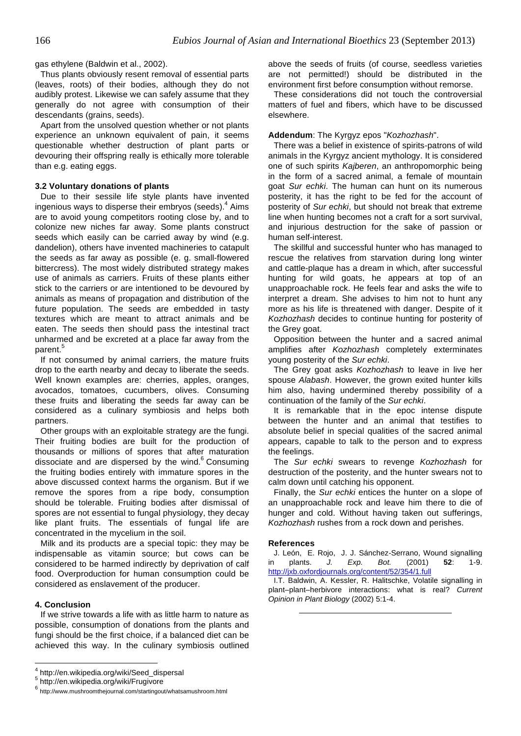gas ethylene (Baldwin et al., 2002).

Thus plants obviously resent removal of essential parts (leaves, roots) of their bodies, although they do not audibly protest. Likewise we can safely assume that they generally do not agree with consumption of their descendants (grains, seeds).

Apart from the unsolved question whether or not plants experience an unknown equivalent of pain, it seems questionable whether destruction of plant parts or devouring their offspring really is ethically more tolerable than e.g. eating eggs.

#### **3.2 Voluntary donations of plants**

Due to their sessile life style plants have invented ingenious ways to disperse their embryos (seeds).<sup>4</sup> Aims are to avoid young competitors rooting close by, and to colonize new niches far away. Some plants construct seeds which easily can be carried away by wind (e.g. dandelion), others have invented machineries to catapult the seeds as far away as possible (e. g. small-flowered bittercress). The most widely distributed strategy makes use of animals as carriers. Fruits of these plants either stick to the carriers or are intentioned to be devoured by animals as means of propagation and distribution of the future population. The seeds are embedded in tasty textures which are meant to attract animals and be eaten. The seeds then should pass the intestinal tract unharmed and be excreted at a place far away from the parent.<sup>5</sup>

If not consumed by animal carriers, the mature fruits drop to the earth nearby and decay to liberate the seeds. Well known examples are: cherries, apples, oranges, avocados, tomatoes, cucumbers, olives. Consuming these fruits and liberating the seeds far away can be considered as a culinary symbiosis and helps both partners.

Other groups with an exploitable strategy are the fungi. Their fruiting bodies are built for the production of thousands or millions of spores that after maturation dissociate and are dispersed by the wind.<sup>6</sup> Consuming the fruiting bodies entirely with immature spores in the above discussed context harms the organism. But if we remove the spores from a ripe body, consumption should be tolerable. Fruiting bodies after dismissal of spores are not essential to fungal physiology, they decay like plant fruits. The essentials of fungal life are concentrated in the mycelium in the soil.

Milk and its products are a special topic: they may be indispensable as vitamin source; but cows can be considered to be harmed indirectly by deprivation of calf food. Overproduction for human consumption could be considered as enslavement of the producer.

# **4. Conclusion**

If we strive towards a life with as little harm to nature as possible, consumption of donations from the plants and fungi should be the first choice, if a balanced diet can be achieved this way. In the culinary symbiosis outlined

above the seeds of fruits (of course, seedless varieties are not permitted!) should be distributed in the environment first before consumption without remorse.

These considerations did not touch the controversial matters of fuel and fibers, which have to be discussed elsewhere.

#### **Addendum**: The Kyrgyz epos "Kozhozhash".

There was a belief in existence of spirits-patrons of wild animals in the Kyrgyz ancient mythology. It is considered one of such spirits Kajberen, an anthropomorphic being in the form of a sacred animal, a female of mountain goat Sur echki. The human can hunt on its numerous posterity, it has the right to be fed for the account of posterity of Sur echki, but should not break that extreme line when hunting becomes not a craft for a sort survival, and injurious destruction for the sake of passion or human self-interest.

The skillful and successful hunter who has managed to rescue the relatives from starvation during long winter and cattle-plaque has a dream in which, after successful hunting for wild goats, he appears at top of an unapproachable rock. He feels fear and asks the wife to interpret a dream. She advises to him not to hunt any more as his life is threatened with danger. Despite of it Kozhozhash decides to continue hunting for posterity of the Grey goat.

Opposition between the hunter and a sacred animal amplifies after Kozhozhash completely exterminates young posterity of the Sur echki.

The Grey goat asks Kozhozhash to leave in live her spouse Alabash. However, the grown exited hunter kills him also, having undermined thereby possibility of a continuation of the family of the Sur echki.

It is remarkable that in the epoc intense dispute between the hunter and an animal that testifies to absolute belief in special qualities of the sacred animal appears, capable to talk to the person and to express the feelings.

The Sur echki swears to revenge Kozhozhash for destruction of the posterity, and the hunter swears not to calm down until catching his opponent.

Finally, the Sur echki entices the hunter on a slope of an unapproachable rock and leave him there to die of hunger and cold. Without having taken out sufferings, Kozhozhash rushes from a rock down and perishes.

#### **References**

J. León, E. Rojo, J. J. Sánchez-Serrano, Wound signalling<br>19. plants. J. Exp. Bot. (2001) 52: 1-9. in plants. J. Exp. Bot. (2001) **52**: 1-9. http://jxb.oxfordjournals.org/content/52/354/1.full

I.T. Baldwin, A. Kessler, R. Halitschke, Volatile signalling in plant–plant–herbivore interactions: what is real? Current Opinion in Plant Biology (2002) 5:1-4.

<sup>4</sup> http://en.wikipedia.org/wiki/Seed\_dispersal

<sup>5</sup> http://en.wikipedia.org/wiki/Frugivore

<sup>6</sup> http://www.mushroomthejournal.com/startingout/whatsamushroom.html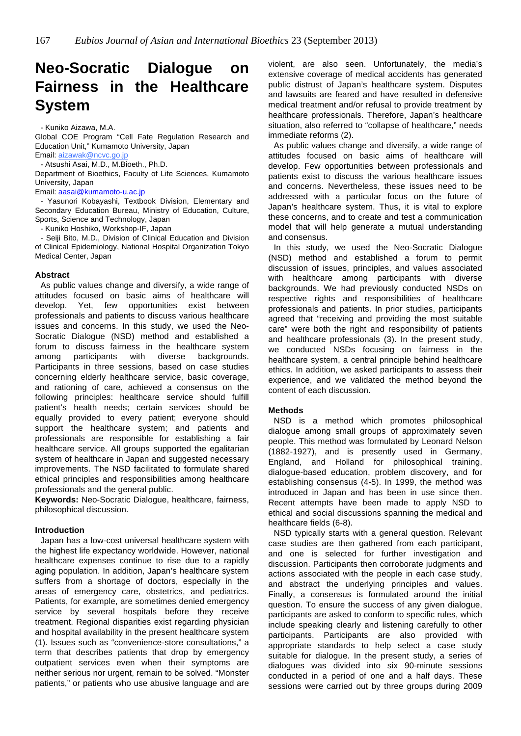# **Neo-Socratic Dialogue on Fairness in the Healthcare System**

- Kuniko Aizawa, M.A.

Global COE Program "Cell Fate Regulation Research and Education Unit," Kumamoto University, Japan Email: aizawak@ncvc.go.jp

- Atsushi Asai, M.D., M.Bioeth., Ph.D.

Department of Bioethics, Faculty of Life Sciences, Kumamoto University, Japan

Email: aasai@kumamoto-u.ac.jp

- Yasunori Kobayashi, Textbook Division, Elementary and Secondary Education Bureau, Ministry of Education, Culture, Sports, Science and Technology, Japan

- Kuniko Hoshiko, Workshop-IF, Japan

- Seiji Bito, M.D., Division of Clinical Education and Division of Clinical Epidemiology, National Hospital Organization Tokyo Medical Center, Japan

# **Abstract**

As public values change and diversify, a wide range of attitudes focused on basic aims of healthcare will develop. Yet, few opportunities exist between professionals and patients to discuss various healthcare issues and concerns. In this study, we used the Neo-Socratic Dialogue (NSD) method and established a forum to discuss fairness in the healthcare system among participants with diverse backgrounds. Participants in three sessions, based on case studies concerning elderly healthcare service, basic coverage, and rationing of care, achieved a consensus on the following principles: healthcare service should fulfill patient's health needs; certain services should be equally provided to every patient; everyone should support the healthcare system; and patients and professionals are responsible for establishing a fair healthcare service. All groups supported the egalitarian system of healthcare in Japan and suggested necessary improvements. The NSD facilitated to formulate shared ethical principles and responsibilities among healthcare professionals and the general public.

**Keywords:** Neo-Socratic Dialogue, healthcare, fairness, philosophical discussion.

# **Introduction**

Japan has a low-cost universal healthcare system with the highest life expectancy worldwide. However, national healthcare expenses continue to rise due to a rapidly aging population. In addition, Japan's healthcare system suffers from a shortage of doctors, especially in the areas of emergency care, obstetrics, and pediatrics. Patients, for example, are sometimes denied emergency service by several hospitals before they receive treatment. Regional disparities exist regarding physician and hospital availability in the present healthcare system (1). Issues such as "convenience-store consultations," a term that describes patients that drop by emergency outpatient services even when their symptoms are neither serious nor urgent, remain to be solved. "Monster patients," or patients who use abusive language and are

violent, are also seen. Unfortunately, the media's extensive coverage of medical accidents has generated public distrust of Japan's healthcare system. Disputes and lawsuits are feared and have resulted in defensive medical treatment and/or refusal to provide treatment by healthcare professionals. Therefore, Japan's healthcare situation, also referred to "collapse of healthcare," needs immediate reforms (2).

As public values change and diversify, a wide range of attitudes focused on basic aims of healthcare will develop. Few opportunities between professionals and patients exist to discuss the various healthcare issues and concerns. Nevertheless, these issues need to be addressed with a particular focus on the future of Japan's healthcare system. Thus, it is vital to explore these concerns, and to create and test a communication model that will help generate a mutual understanding and consensus.

In this study, we used the Neo-Socratic Dialogue (NSD) method and established a forum to permit discussion of issues, principles, and values associated with healthcare among participants with diverse backgrounds. We had previously conducted NSDs on respective rights and responsibilities of healthcare professionals and patients. In prior studies, participants agreed that "receiving and providing the most suitable care" were both the right and responsibility of patients and healthcare professionals (3). In the present study, we conducted NSDs focusing on fairness in the healthcare system, a central principle behind healthcare ethics. In addition, we asked participants to assess their experience, and we validated the method beyond the content of each discussion.

# **Methods**

NSD is a method which promotes philosophical dialogue among small groups of approximately seven people. This method was formulated by Leonard Nelson (1882-1927), and is presently used in Germany, England, and Holland for philosophical training, dialogue-based education, problem discovery, and for establishing consensus (4-5). In 1999, the method was introduced in Japan and has been in use since then. Recent attempts have been made to apply NSD to ethical and social discussions spanning the medical and healthcare fields (6-8).

NSD typically starts with a general question. Relevant case studies are then gathered from each participant, and one is selected for further investigation and discussion. Participants then corroborate judgments and actions associated with the people in each case study, and abstract the underlying principles and values. Finally, a consensus is formulated around the initial question. To ensure the success of any given dialogue, participants are asked to conform to specific rules, which include speaking clearly and listening carefully to other participants. Participants are also provided with appropriate standards to help select a case study suitable for dialogue. In the present study, a series of dialogues was divided into six 90-minute sessions conducted in a period of one and a half days. These sessions were carried out by three groups during 2009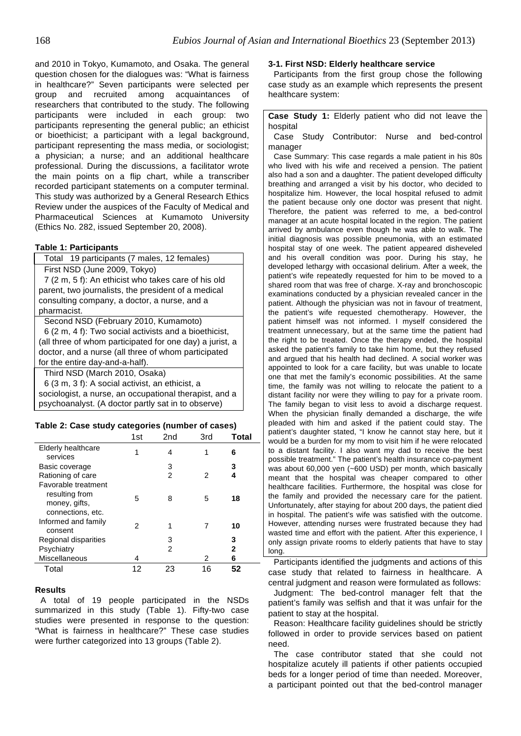and 2010 in Tokyo, Kumamoto, and Osaka. The general question chosen for the dialogues was: "What is fairness in healthcare?" Seven participants were selected per group and recruited among acquaintances of researchers that contributed to the study. The following participants were included in each group: two participants representing the general public; an ethicist or bioethicist; a participant with a legal background, participant representing the mass media, or sociologist; a physician; a nurse; and an additional healthcare professional. During the discussions, a facilitator wrote the main points on a flip chart, while a transcriber recorded participant statements on a computer terminal. This study was authorized by a General Research Ethics Review under the auspices of the Faculty of Medical and Pharmaceutical Sciences at Kumamoto University (Ethics No. 282, issued September 20, 2008).

# **Table 1: Participants**

| Total 19 participants (7 males, 12 females)              |  |  |
|----------------------------------------------------------|--|--|
| First NSD (June 2009, Tokyo)                             |  |  |
| 7 (2 m, 5 f): An ethicist who takes care of his old      |  |  |
| parent, two journalists, the president of a medical      |  |  |
| consulting company, a doctor, a nurse, and a             |  |  |
| pharmacist.                                              |  |  |
| Second NSD (February 2010, Kumamoto)                     |  |  |
| 6 (2 m, 4 f): Two social activists and a bioethicist,    |  |  |
| (all three of whom participated for one day) a jurist, a |  |  |
| doctor, and a nurse (all three of whom participated      |  |  |
| for the entire day-and-a-half).                          |  |  |
| Third NSD (March 2010, Osaka)                            |  |  |
| 6 (3 m, 3 f): A social activist, an ethicist, a          |  |  |
| sociologist, a nurse, an occupational therapist, and a   |  |  |
| psychoanalyst. (A doctor partly sat in to observe)       |  |  |

# **Table 2: Case study categories (number of cases)**

|                           | 1st | 2nd | 3rd | Total |
|---------------------------|-----|-----|-----|-------|
| <b>Elderly healthcare</b> |     | 4   |     | 6     |
| services                  |     |     |     |       |
| Basic coverage            |     | 3   |     | 3     |
| Rationing of care         |     | 2   | 2   | 4     |
| Favorable treatment       |     |     |     |       |
| resulting from            | 5   | 8   | 5   | 18    |
| money, gifts,             |     |     |     |       |
| connections, etc.         |     |     |     |       |
| Informed and family       | 2   |     |     | 10    |
| consent                   |     |     |     |       |
| Regional disparities      |     | 3   |     | 3     |
| Psychiatry                |     | 2   |     | 2     |
| Miscellaneous             | 4   |     | 2   | 6     |
| Total                     | 12  | 23  | 16  | 52    |

# **Results**

A total of 19 people participated in the NSDs summarized in this study (Table 1). Fifty-two case studies were presented in response to the question: "What is fairness in healthcare?" These case studies were further categorized into 13 groups (Table 2).

# **3-1. First NSD: Elderly healthcare service**

Participants from the first group chose the following case study as an example which represents the present healthcare system:

**Case Study 1:** Elderly patient who did not leave the hospital

Case Study Contributor: Nurse and bed-control manager

Case Summary: This case regards a male patient in his 80s who lived with his wife and received a pension. The patient also had a son and a daughter. The patient developed difficulty breathing and arranged a visit by his doctor, who decided to hospitalize him. However, the local hospital refused to admit the patient because only one doctor was present that night. Therefore, the patient was referred to me, a bed-control manager at an acute hospital located in the region. The patient arrived by ambulance even though he was able to walk. The initial diagnosis was possible pneumonia, with an estimated hospital stay of one week. The patient appeared disheveled and his overall condition was poor. During his stay, he developed lethargy with occasional delirium. After a week, the patient's wife repeatedly requested for him to be moved to a shared room that was free of charge. X-ray and bronchoscopic examinations conducted by a physician revealed cancer in the patient. Although the physician was not in favour of treatment, the patient's wife requested chemotherapy. However, the patient himself was not informed. I myself considered the treatment unnecessary, but at the same time the patient had the right to be treated. Once the therapy ended, the hospital asked the patient's family to take him home, but they refused and argued that his health had declined. A social worker was appointed to look for a care facility, but was unable to locate one that met the family's economic possibilities. At the same time, the family was not willing to relocate the patient to a distant facility nor were they willing to pay for a private room. The family began to visit less to avoid a discharge request. When the physician finally demanded a discharge, the wife pleaded with him and asked if the patient could stay. The patient's daughter stated, "I know he cannot stay here, but it would be a burden for my mom to visit him if he were relocated to a distant facility. I also want my dad to receive the best possible treatment." The patient's health insurance co-payment was about 60,000 yen (~600 USD) per month, which basically meant that the hospital was cheaper compared to other healthcare facilities. Furthermore, the hospital was close for the family and provided the necessary care for the patient. Unfortunately, after staying for about 200 days, the patient died in hospital. The patient's wife was satisfied with the outcome. However, attending nurses were frustrated because they had wasted time and effort with the patient. After this experience, I only assign private rooms to elderly patients that have to stay long.

Participants identified the judgments and actions of this case study that related to fairness in healthcare. A central judgment and reason were formulated as follows:

Judgment: The bed-control manager felt that the patient's family was selfish and that it was unfair for the patient to stay at the hospital.

Reason: Healthcare facility guidelines should be strictly followed in order to provide services based on patient need.

The case contributor stated that she could not hospitalize acutely ill patients if other patients occupied beds for a longer period of time than needed. Moreover, a participant pointed out that the bed-control manager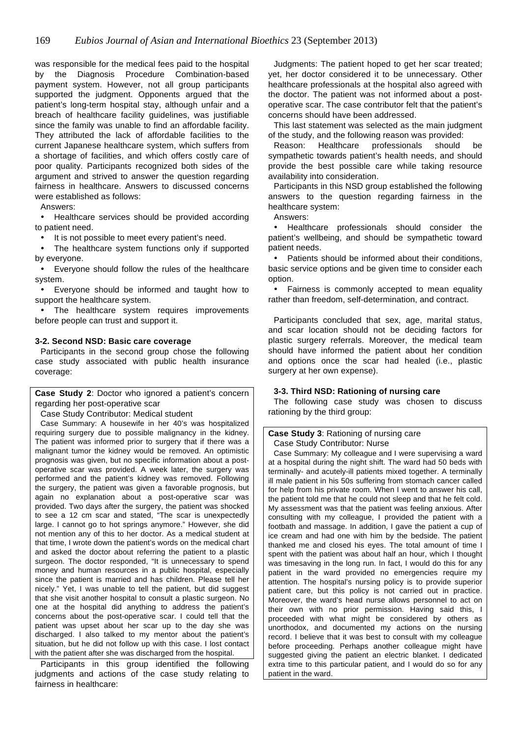was responsible for the medical fees paid to the hospital by the Diagnosis Procedure Combination-based payment system. However, not all group participants supported the judgment. Opponents argued that the patient's long-term hospital stay, although unfair and a breach of healthcare facility guidelines, was justifiable since the family was unable to find an affordable facility. They attributed the lack of affordable facilities to the current Japanese healthcare system, which suffers from a shortage of facilities, and which offers costly care of poor quality. Participants recognized both sides of the argument and strived to answer the question regarding fairness in healthcare. Answers to discussed concerns were established as follows:

Answers:

• Healthcare services should be provided according to patient need.

• It is not possible to meet every patient's need.

• The healthcare system functions only if supported by everyone.

• Everyone should follow the rules of the healthcare system.

• Everyone should be informed and taught how to support the healthcare system.

• The healthcare system requires improvements before people can trust and support it.

# **3-2. Second NSD: Basic care coverage**

Participants in the second group chose the following case study associated with public health insurance coverage:

**Case Study 2**: Doctor who ignored a patient's concern regarding her post-operative scar

Case Study Contributor: Medical student

Case Summary: A housewife in her 40's was hospitalized requiring surgery due to possible malignancy in the kidney. The patient was informed prior to surgery that if there was a malignant tumor the kidney would be removed. An optimistic prognosis was given, but no specific information about a postoperative scar was provided. A week later, the surgery was performed and the patient's kidney was removed. Following the surgery, the patient was given a favorable prognosis, but again no explanation about a post-operative scar was provided. Two days after the surgery, the patient was shocked to see a 12 cm scar and stated, "The scar is unexpectedly large. I cannot go to hot springs anymore." However, she did not mention any of this to her doctor. As a medical student at that time, I wrote down the patient's words on the medical chart and asked the doctor about referring the patient to a plastic surgeon. The doctor responded, "It is unnecessary to spend money and human resources in a public hospital, especially since the patient is married and has children. Please tell her nicely." Yet, I was unable to tell the patient, but did suggest that she visit another hospital to consult a plastic surgeon. No one at the hospital did anything to address the patient's concerns about the post-operative scar. I could tell that the patient was upset about her scar up to the day she was discharged. I also talked to my mentor about the patient's situation, but he did not follow up with this case. I lost contact with the patient after she was discharged from the hospital.

Participants in this group identified the following judgments and actions of the case study relating to fairness in healthcare:

Judgments: The patient hoped to get her scar treated; yet, her doctor considered it to be unnecessary. Other healthcare professionals at the hospital also agreed with the doctor. The patient was not informed about a postoperative scar. The case contributor felt that the patient's concerns should have been addressed.

This last statement was selected as the main judgment of the study, and the following reason was provided:

Reason: Healthcare professionals should be sympathetic towards patient's health needs, and should provide the best possible care while taking resource availability into consideration.

Participants in this NSD group established the following answers to the question regarding fairness in the healthcare system:

Answers:

• Healthcare professionals should consider the patient's wellbeing, and should be sympathetic toward patient needs.

• Patients should be informed about their conditions, basic service options and be given time to consider each option.

• Fairness is commonly accepted to mean equality rather than freedom, self-determination, and contract.

Participants concluded that sex, age, marital status, and scar location should not be deciding factors for plastic surgery referrals. Moreover, the medical team should have informed the patient about her condition and options once the scar had healed (i.e., plastic surgery at her own expense).

# **3-3. Third NSD: Rationing of nursing care**

The following case study was chosen to discuss rationing by the third group:

# **Case Study 3**: Rationing of nursing care

Case Study Contributor: Nurse

Case Summary: My colleague and I were supervising a ward at a hospital during the night shift. The ward had 50 beds with terminally- and acutely-ill patients mixed together. A terminally ill male patient in his 50s suffering from stomach cancer called for help from his private room. When I went to answer his call, the patient told me that he could not sleep and that he felt cold. My assessment was that the patient was feeling anxious. After consulting with my colleague, I provided the patient with a footbath and massage. In addition, I gave the patient a cup of ice cream and had one with him by the bedside. The patient thanked me and closed his eyes. The total amount of time I spent with the patient was about half an hour, which I thought was timesaving in the long run. In fact, I would do this for any patient in the ward provided no emergencies require my attention. The hospital's nursing policy is to provide superior patient care, but this policy is not carried out in practice. Moreover, the ward's head nurse allows personnel to act on their own with no prior permission. Having said this, I proceeded with what might be considered by others as unorthodox, and documented my actions on the nursing record. I believe that it was best to consult with my colleague before proceeding. Perhaps another colleague might have suggested giving the patient an electric blanket. I dedicated extra time to this particular patient, and I would do so for any patient in the ward.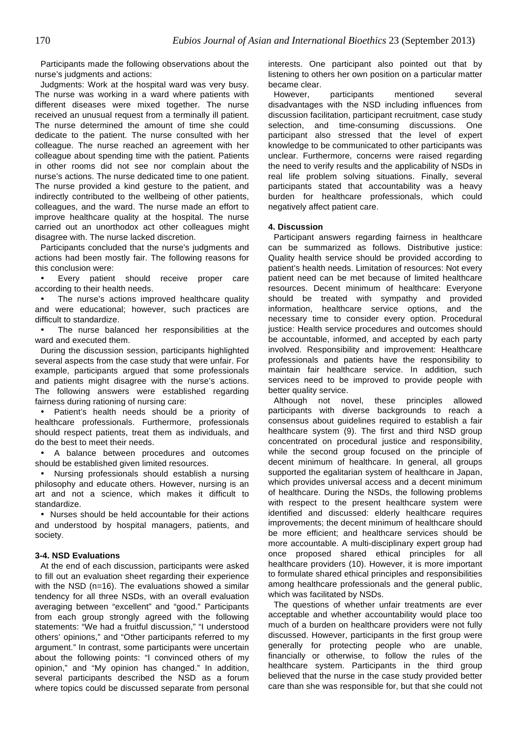Participants made the following observations about the nurse's judgments and actions:

Judgments: Work at the hospital ward was very busy. The nurse was working in a ward where patients with different diseases were mixed together. The nurse received an unusual request from a terminally ill patient. The nurse determined the amount of time she could dedicate to the patient. The nurse consulted with her colleague. The nurse reached an agreement with her colleague about spending time with the patient. Patients in other rooms did not see nor complain about the nurse's actions. The nurse dedicated time to one patient. The nurse provided a kind gesture to the patient, and indirectly contributed to the wellbeing of other patients, colleagues, and the ward. The nurse made an effort to improve healthcare quality at the hospital. The nurse carried out an unorthodox act other colleagues might disagree with. The nurse lacked discretion.

Participants concluded that the nurse's judgments and actions had been mostly fair. The following reasons for this conclusion were:

• Every patient should receive proper care according to their health needs.

The nurse's actions improved healthcare quality and were educational; however, such practices are difficult to standardize.

The nurse balanced her responsibilities at the ward and executed them.

During the discussion session, participants highlighted several aspects from the case study that were unfair. For example, participants argued that some professionals and patients might disagree with the nurse's actions. The following answers were established regarding fairness during rationing of nursing care:

• Patient's health needs should be a priority of healthcare professionals. Furthermore, professionals should respect patients, treat them as individuals, and do the best to meet their needs.

• A balance between procedures and outcomes should be established given limited resources.

• Nursing professionals should establish a nursing philosophy and educate others. However, nursing is an art and not a science, which makes it difficult to standardize.

• Nurses should be held accountable for their actions and understood by hospital managers, patients, and society.

# **3-4. NSD Evaluations**

At the end of each discussion, participants were asked to fill out an evaluation sheet regarding their experience with the NSD (n=16). The evaluations showed a similar tendency for all three NSDs, with an overall evaluation averaging between "excellent" and "good." Participants from each group strongly agreed with the following statements: "We had a fruitful discussion," "I understood others' opinions," and "Other participants referred to my argument." In contrast, some participants were uncertain about the following points: "I convinced others of my opinion," and "My opinion has changed." In addition, several participants described the NSD as a forum where topics could be discussed separate from personal

interests. One participant also pointed out that by listening to others her own position on a particular matter became clear.

However, participants mentioned several disadvantages with the NSD including influences from discussion facilitation, participant recruitment, case study selection, and time-consuming discussions. One participant also stressed that the level of expert knowledge to be communicated to other participants was unclear. Furthermore, concerns were raised regarding the need to verify results and the applicability of NSDs in real life problem solving situations. Finally, several participants stated that accountability was a heavy burden for healthcare professionals, which could negatively affect patient care.

#### **4. Discussion**

Participant answers regarding fairness in healthcare can be summarized as follows. Distributive justice: Quality health service should be provided according to patient's health needs. Limitation of resources: Not every patient need can be met because of limited healthcare resources. Decent minimum of healthcare: Everyone should be treated with sympathy and provided information, healthcare service options, and the necessary time to consider every option. Procedural justice: Health service procedures and outcomes should be accountable, informed, and accepted by each party involved. Responsibility and improvement: Healthcare professionals and patients have the responsibility to maintain fair healthcare service. In addition, such services need to be improved to provide people with better quality service.

Although not novel, these principles allowed participants with diverse backgrounds to reach a consensus about guidelines required to establish a fair healthcare system (9). The first and third NSD group concentrated on procedural justice and responsibility, while the second group focused on the principle of decent minimum of healthcare. In general, all groups supported the egalitarian system of healthcare in Japan, which provides universal access and a decent minimum of healthcare. During the NSDs, the following problems with respect to the present healthcare system were identified and discussed: elderly healthcare requires improvements; the decent minimum of healthcare should be more efficient; and healthcare services should be more accountable. A multi-disciplinary expert group had once proposed shared ethical principles for all healthcare providers (10). However, it is more important to formulate shared ethical principles and responsibilities among healthcare professionals and the general public, which was facilitated by NSDs.

The questions of whether unfair treatments are ever acceptable and whether accountability would place too much of a burden on healthcare providers were not fully discussed. However, participants in the first group were generally for protecting people who are unable, financially or otherwise, to follow the rules of the healthcare system. Participants in the third group believed that the nurse in the case study provided better care than she was responsible for, but that she could not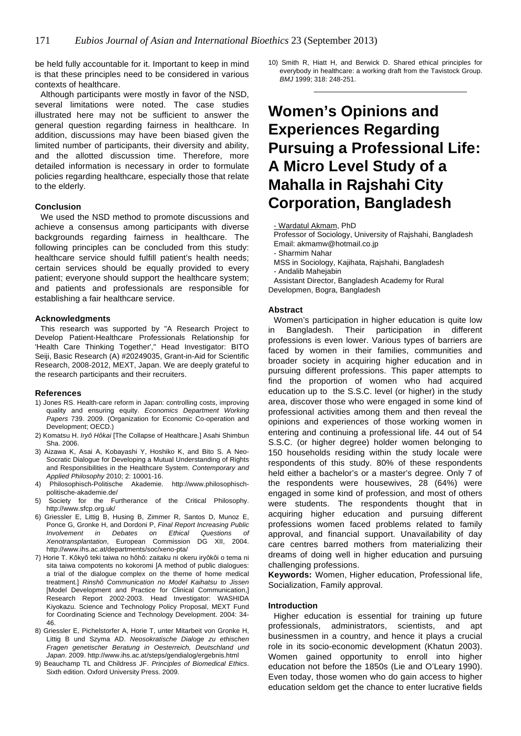be held fully accountable for it. Important to keep in mind is that these principles need to be considered in various contexts of healthcare.

Although participants were mostly in favor of the NSD, several limitations were noted. The case studies illustrated here may not be sufficient to answer the general question regarding fairness in healthcare. In addition, discussions may have been biased given the limited number of participants, their diversity and ability, and the allotted discussion time. Therefore, more detailed information is necessary in order to formulate policies regarding healthcare, especially those that relate to the elderly.

#### **Conclusion**

We used the NSD method to promote discussions and achieve a consensus among participants with diverse backgrounds regarding fairness in healthcare. The following principles can be concluded from this study: healthcare service should fulfill patient's health needs; certain services should be equally provided to every patient; everyone should support the healthcare system; and patients and professionals are responsible for establishing a fair healthcare service.

#### **Acknowledgments**

This research was supported by "A Research Project to Develop Patient-Healthcare Professionals Relationship for 'Health Care Thinking Together'," Head Investigator: BITO Seiji, Basic Research (A) #20249035, Grant-in-Aid for Scientific Research, 2008-2012, MEXT, Japan. We are deeply grateful to the research participants and their recruiters.

# **References**

- 1) Jones RS. Health-care reform in Japan: controlling costs, improving quality and ensuring equity. Economics Department Working Papers 739. 2009. (Organization for Economic Co-operation and Development; OECD.)
- 2) Komatsu H. Iryô Hôkai [The Collapse of Healthcare.] Asahi Shimbun Sha. 2006.
- 3) Aizawa K, Asai A, Kobayashi Y, Hoshiko K, and Bito S. A Neo-Socratic Dialogue for Developing a Mutual Understanding of Rights and Responsibilities in the Healthcare System. Contemporary and Applied Philosophy 2010; 2: 10001-16.
- 4) Philosophisch-Politische Akademie. http://www.philosophischpolitische-akademie.de/
- 5) Society for the Furtherance of the Critical Philosophy. http://www.sfcp.org.uk/
- 6) Griessler E, Littig B, Husing B, Zimmer R, Santos D, Munoz E, Ponce G, Gronke H, and Dordoni P, Final Report Increasing Public Involvement in Debates on Ethical Questions of Xenotransplantation, European Commission DG XII, 2004. http://www.ihs.ac.at/departments/soc/xeno-pta/
- 7) Horie T. Kôkyô teki taiwa no hôhô: zaitaku ni okeru iryôkôi o tema ni sita taiwa compotents no kokoromi [A method of public dialogues: a trial of the dialogue complex on the theme of home medical treatment.] Rinshô Communication no Model Kaihatsu to Jissen [Model Development and Practice for Clinical Communication,] Research Report 2002-2003. Head Investigator: WASHIDA Kiyokazu. Science and Technology Policy Proposal, MEXT Fund for Coordinating Science and Technology Development. 2004: 34- 46.
- 8) Griessler E, Pichelstorfer A, Horie T, unter Mitarbeit von Gronke H, Littig B und Szyma AD. Neosokratische Dialoge zu ethischen Fragen genetischer Beratung in Oesterreich, Deutschland und Japan. 2009. http://www.ihs.ac.at/steps/gendialog/ergebnis.html
- 9) Beauchamp TL and Childress JF. Principles of Biomedical Ethics. Sixth edition. Oxford University Press. 2009.

10) Smith R, Hiatt H, and Berwick D. Shared ethical principles for everybody in healthcare: a working draft from the Tavistock Group. BMJ 1999; 318: 248-251.

# **Women's Opinions and Experiences Regarding Pursuing a Professional Life: A Micro Level Study of a Mahalla in Rajshahi City Corporation, Bangladesh**

Professor of Sociology, University of Rajshahi, Bangladesh Email: akmamw@hotmail.co.jp

- Sharmim Nahar
- MSS in Sociology, Kajihata, Rajshahi, Bangladesh - Andalib Mahejabin

Assistant Director, Bangladesh Academy for Rural Developmen, Bogra, Bangladesh

#### **Abstract**

Women's participation in higher education is quite low in Bangladesh. Their participation in different professions is even lower. Various types of barriers are faced by women in their families, communities and broader society in acquiring higher education and in pursuing different professions. This paper attempts to find the proportion of women who had acquired education up to the S.S.C. level (or higher) in the study area, discover those who were engaged in some kind of professional activities among them and then reveal the opinions and experiences of those working women in entering and continuing a professional life. 44 out of 54 S.S.C. (or higher degree) holder women belonging to 150 households residing within the study locale were respondents of this study. 80% of these respondents held either a bachelor's or a master's degree. Only 7 of the respondents were housewives, 28 (64%) were engaged in some kind of profession, and most of others were students. The respondents thought that in acquiring higher education and pursuing different professions women faced problems related to family approval, and financial support. Unavailability of day care centres barred mothers from materializing their dreams of doing well in higher education and pursuing challenging professions.

**Keywords:** Women, Higher education, Professional life, Socialization, Family approval.

#### **Introduction**

Higher education is essential for training up future professionals, administrators, scientists, and apt businessmen in a country, and hence it plays a crucial role in its socio-economic development (Khatun 2003). Women gained opportunity to enroll into higher education not before the 1850s (Lie and O'Leary 1990). Even today, those women who do gain access to higher education seldom get the chance to enter lucrative fields

<sup>-</sup> Wardatul Akmam, PhD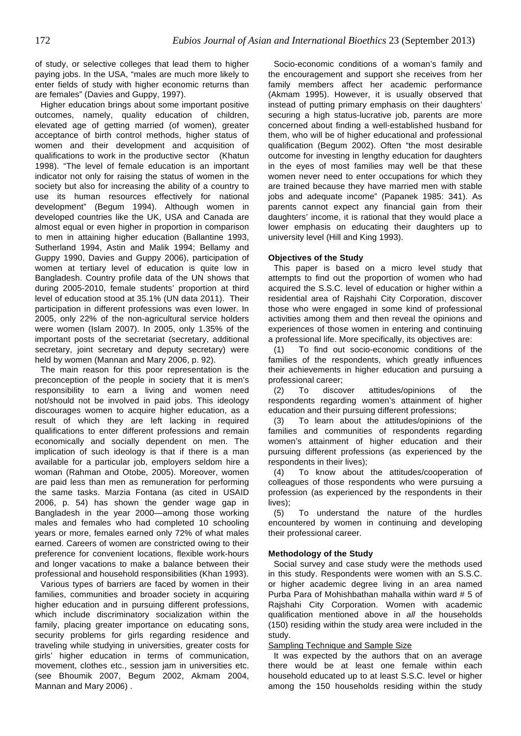of study, or selective colleges that lead them to higher paying jobs. In the USA, "males are much more likely to enter fields of study with higher economic returns than are females" (Davies and Guppy, 1997).

Higher education brings about some important positive outcomes, namely, quality education of children, elevated age of getting married (of women), greater acceptance of birth control methods, higher status of women and their development and acquisition of qualifications to work in the productive sector (Khatun 1998). "The level of female education is an important indicator not only for raising the status of women in the society but also for increasing the ability of a country to use its human resources effectively for national development" (Begum 1994). Although women in developed countries like the UK, USA and Canada are almost equal or even higher in proportion in comparison to men in attaining higher education (Ballantine 1993, Sutherland 1994, Astin and Malik 1994; Bellamy and Guppy 1990, Davies and Guppy 2006), participation of women at tertiary level of education is quite low in Bangladesh. Country profile data of the UN shows that during 2005-2010, female students' proportion at third level of education stood at 35.1% (UN data 2011). Their participation in different professions was even lower. In 2005, only 22% of the non-agricultural service holders were women (Islam 2007). In 2005, only 1.35% of the important posts of the secretariat (secretary, additional secretary, joint secretary and deputy secretary) were held by women (Mannan and Mary 2006, p. 92).

The main reason for this poor representation is the preconception of the people in society that it is men's responsibility to earn a living and women need not/should not be involved in paid jobs. This ideology discourages women to acquire higher education, as a result of which they are left lacking in required qualifications to enter different professions and remain economically and socially dependent on men. The implication of such ideology is that if there is a man available for a particular job, employers seldom hire a woman (Rahman and Otobe, 2005). Moreover, women are paid less than men as remuneration for performing the same tasks. Marzia Fontana (as cited in USAID 2006, p. 54) has shown the gender wage gap in Bangladesh in the year 2000—among those working males and females who had completed 10 schooling years or more, females earned only 72% of what males earned. Careers of women are constricted owing to their preference for convenient locations, flexible work-hours and longer vacations to make a balance between their professional and household responsibilities (Khan 1993).

Various types of barriers are faced by women in their families, communities and broader society in acquiring higher education and in pursuing different professions, which include discriminatory socialization within the family, placing greater importance on educating sons, security problems for girls regarding residence and traveling while studying in universities, greater costs for girls' higher education in terms of communication, movement, clothes etc., session jam in universities etc. (see Bhoumik 2007, Begum 2002, Akmam 2004, Mannan and Mary 2006) .

Socio-economic conditions of a woman's family and the encouragement and support she receives from her family members affect her academic performance (Akmam 1995). However, it is usually observed that instead of putting primary emphasis on their daughters' securing a high status-lucrative job, parents are more concerned about finding a well-established husband for them, who will be of higher educational and professional qualification (Begum 2002). Often "the most desirable outcome for investing in lengthy education for daughters in the eyes of most families may well be that these women never need to enter occupations for which they are trained because they have married men with stable jobs and adequate income" (Papanek 1985: 341). As parents cannot expect any financial gain from their daughters' income, it is rational that they would place a lower emphasis on educating their daughters up to university level (Hill and King 1993).

# **Objectives of the Study**

This paper is based on a micro level study that attempts to find out the proportion of women who had acquired the S.S.C. level of education or higher within a residential area of Rajshahi City Corporation, discover those who were engaged in some kind of professional activities among them and then reveal the opinions and experiences of those women in entering and continuing a professional life. More specifically, its objectives are:

(1) To find out socio-economic conditions of the families of the respondents, which greatly influences their achievements in higher education and pursuing a professional career;

(2) To discover attitudes/opinions of the respondents regarding women's attainment of higher education and their pursuing different professions;

(3) To learn about the attitudes/opinions of the families and communities of respondents regarding women's attainment of higher education and their pursuing different professions (as experienced by the respondents in their lives);

(4) To know about the attitudes/cooperation of colleagues of those respondents who were pursuing a profession (as experienced by the respondents in their lives);

(5) To understand the nature of the hurdles encountered by women in continuing and developing their professional career.

# **Methodology of the Study**

Social survey and case study were the methods used in this study. Respondents were women with an S.S.C. or higher academic degree living in an area named Purba Para of Mohishbathan mahalla within ward # 5 of Rajshahi City Corporation. Women with academic qualification mentioned above in all the households (150) residing within the study area were included in the study.

# Sampling Technique and Sample Size

It was expected by the authors that on an average there would be at least one female within each household educated up to at least S.S.C. level or higher among the 150 households residing within the study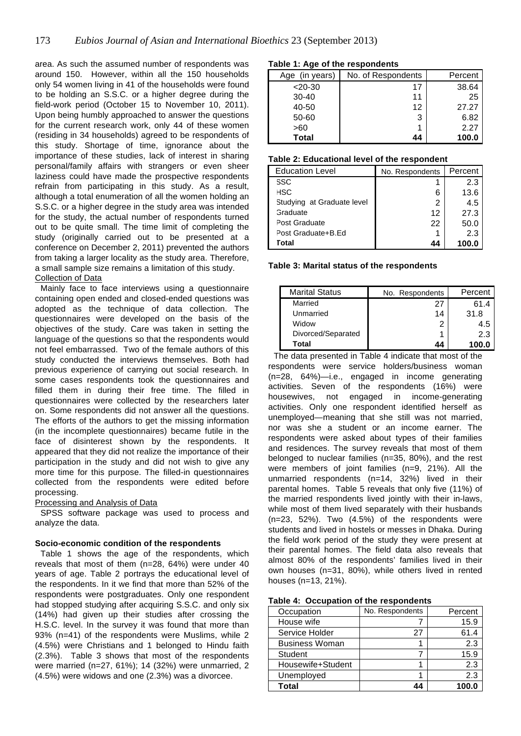area. As such the assumed number of respondents was around 150. However, within all the 150 households only 54 women living in 41 of the households were found to be holding an S.S.C. or a higher degree during the field-work period (October 15 to November 10, 2011). Upon being humbly approached to answer the questions for the current research work, only 44 of these women (residing in 34 households) agreed to be respondents of this study. Shortage of time, ignorance about the importance of these studies, lack of interest in sharing personal/family affairs with strangers or even sheer laziness could have made the prospective respondents refrain from participating in this study. As a result, although a total enumeration of all the women holding an S.S.C. or a higher degree in the study area was intended for the study, the actual number of respondents turned out to be quite small. The time limit of completing the study (originally carried out to be presented at a conference on December 2, 2011) prevented the authors from taking a larger locality as the study area. Therefore, a small sample size remains a limitation of this study.

# Collection of Data

Mainly face to face interviews using a questionnaire containing open ended and closed-ended questions was adopted as the technique of data collection. The questionnaires were developed on the basis of the objectives of the study. Care was taken in setting the language of the questions so that the respondents would not feel embarrassed. Two of the female authors of this study conducted the interviews themselves. Both had previous experience of carrying out social research. In some cases respondents took the questionnaires and filled them in during their free time. The filled in questionnaires were collected by the researchers later on. Some respondents did not answer all the questions. The efforts of the authors to get the missing information (in the incomplete questionnaires) became futile in the face of disinterest shown by the respondents. It appeared that they did not realize the importance of their participation in the study and did not wish to give any more time for this purpose. The filled-in questionnaires collected from the respondents were edited before processing.

# Processing and Analysis of Data

SPSS software package was used to process and analyze the data.

#### **Socio-economic condition of the respondents**

Table 1 shows the age of the respondents, which reveals that most of them (n=28, 64%) were under 40 years of age. Table 2 portrays the educational level of the respondents. In it we find that more than 52% of the respondents were postgraduates. Only one respondent had stopped studying after acquiring S.S.C. and only six (14%) had given up their studies after crossing the H.S.C. level. In the survey it was found that more than 93% (n=41) of the respondents were Muslims, while 2 (4.5%) were Christians and 1 belonged to Hindu faith (2.3%). Table 3 shows that most of the respondents were married (n=27, 61%); 14 (32%) were unmarried, 2 (4.5%) were widows and one (2.3%) was a divorcee.

#### **Table 1: Age of the respondents**

| Age (in years) | No. of Respondents | Percent |
|----------------|--------------------|---------|
| $< 20 - 30$    | 17                 | 38.64   |
| $30 - 40$      | 11                 | 25      |
| 40-50          | 12                 | 27.27   |
| 50-60          | 3                  | 6.82    |
| >60            |                    | 2.27    |
| <b>Total</b>   | 44                 | 100.0   |

### **Table 2: Educational level of the respondent**

| <b>Education Level</b>     | No. Respondents | Percent |
|----------------------------|-----------------|---------|
| SSC                        |                 | 2.3     |
| HSC                        | 6               | 13.6    |
| Studying at Graduate level | 2               | 4.5     |
| Graduate                   | 12              | 27.3    |
| Post Graduate              | 22              | 50.0    |
| Post Graduate+B.Ed         |                 | 2.3     |
| Total                      | 44              |         |

#### **Table 3: Marital status of the respondents**

| <b>Marital Status</b> | No. Respondents | Percent |
|-----------------------|-----------------|---------|
| Married               | 27              | 61.4    |
| Unmarried             | 14              | 31.8    |
| Widow                 | 2               | 4.5     |
| Divorced/Separated    |                 | 2.3     |
| Total                 | 44              | 100.0   |

The data presented in Table 4 indicate that most of the respondents were service holders/business woman (n=28, 64%)—i.e., engaged in income generating activities. Seven of the respondents (16%) were housewives, not engaged in income-generating activities. Only one respondent identified herself as unemployed—meaning that she still was not married, nor was she a student or an income earner. The respondents were asked about types of their families and residences. The survey reveals that most of them belonged to nuclear families (n=35, 80%), and the rest were members of joint families (n=9, 21%). All the unmarried respondents (n=14, 32%) lived in their parental homes. Table 5 reveals that only five (11%) of the married respondents lived jointly with their in-laws, while most of them lived separately with their husbands (n=23, 52%). Two (4.5%) of the respondents were students and lived in hostels or messes in Dhaka. During the field work period of the study they were present at their parental homes. The field data also reveals that almost 80% of the respondents' families lived in their own houses (n=31, 80%), while others lived in rented houses (n=13, 21%).

|  |  | Table 4: Occupation of the respondents |  |  |
|--|--|----------------------------------------|--|--|
|--|--|----------------------------------------|--|--|

| Occupation            | No. Respondents | Percent |
|-----------------------|-----------------|---------|
| House wife            |                 | 15.9    |
| Service Holder        | 27              | 61.4    |
| <b>Business Woman</b> |                 | 2.3     |
| Student               |                 | 15.9    |
| Housewife+Student     |                 | 2.3     |
| Unemployed            |                 | 2.3     |
| Total                 | 44              | 100.0   |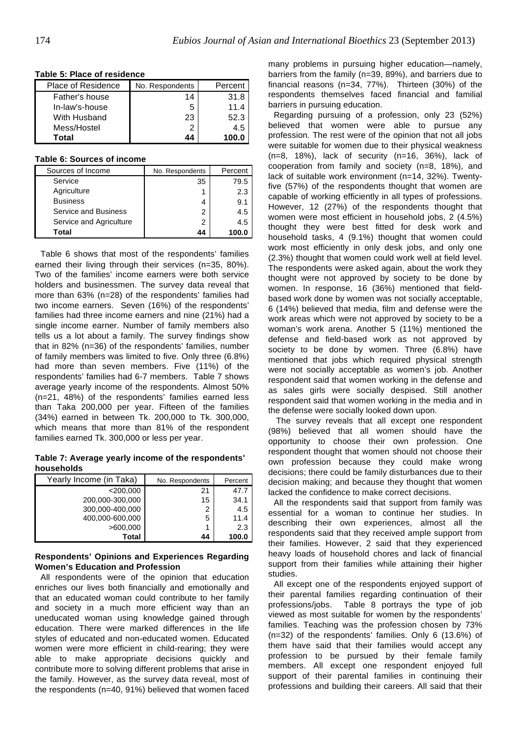| Place of Residence | No. Respondents | Percent |
|--------------------|-----------------|---------|
| Father's house     | 14              | 31.8    |
| In-law's-house     | 5               | 11.4    |
| With Husband       | 23              | 52.3    |
| Mess/Hostel        | 2               | 4.5     |
| Total              | 44              | 100.0   |

#### **Table 5: Place of residence**

#### **Table 6: Sources of income**

| Sources of Income           | No. Respondents | Percent |
|-----------------------------|-----------------|---------|
| Service                     | 35              | 79.5    |
| Agriculture                 |                 | 2.3     |
| <b>Business</b>             | 4               | 9.1     |
| <b>Service and Business</b> | 2               | 4.5     |
| Service and Agriculture     | 2               | 4.5     |
| Total                       | 44              |         |

Table 6 shows that most of the respondents' families earned their living through their services (n=35, 80%). Two of the families' income earners were both service holders and businessmen. The survey data reveal that more than 63% (n=28) of the respondents' families had two income earners. Seven (16%) of the respondents' families had three income earners and nine (21%) had a single income earner. Number of family members also tells us a lot about a family. The survey findings show that in 82% (n=36) of the respondents' families, number of family members was limited to five. Only three (6.8%) had more than seven members. Five (11%) of the respondents' families had 6-7 members. Table 7 shows average yearly income of the respondents. Almost 50% (n=21, 48%) of the respondents' families earned less than Taka 200,000 per year. Fifteen of the families (34%) earned in between Tk. 200,000 to Tk. 300,000, which means that more than 81% of the respondent families earned Tk. 300,000 or less per year.

**Table 7: Average yearly income of the respondents' households**

| Yearly Income (in Taka) | No. Respondents | Percent |
|-------------------------|-----------------|---------|
| $<$ 200,000             | 21              | 47.7    |
| 200,000-300,000         | 15              | 34.1    |
| 300,000-400,000         | 2               | 4.5     |
| 400,000-600,000         | 5               | 11.4    |
| >600,000                |                 | 2.3     |
| <b>Total</b>            | 44              | 100.0   |

### **Respondents' Opinions and Experiences Regarding Women's Education and Profession**

All respondents were of the opinion that education enriches our lives both financially and emotionally and that an educated woman could contribute to her family and society in a much more efficient way than an uneducated woman using knowledge gained through education. There were marked differences in the life styles of educated and non-educated women. Educated women were more efficient in child-rearing; they were able to make appropriate decisions quickly and contribute more to solving different problems that arise in the family. However, as the survey data reveal, most of the respondents (n=40, 91%) believed that women faced

many problems in pursuing higher education—namely, barriers from the family (n=39, 89%), and barriers due to financial reasons (n=34, 77%). Thirteen (30%) of the respondents themselves faced financial and familial barriers in pursuing education.

Regarding pursuing of a profession, only 23 (52%) believed that women were able to pursue any profession. The rest were of the opinion that not all jobs were suitable for women due to their physical weakness (n=8, 18%), lack of security (n=16, 36%), lack of cooperation from family and society (n=8, 18%), and lack of suitable work environment (n=14, 32%). Twentyfive (57%) of the respondents thought that women are capable of working efficiently in all types of professions. However, 12 (27%) of the respondents thought that women were most efficient in household jobs, 2 (4.5%) thought they were best fitted for desk work and household tasks, 4 (9.1%) thought that women could work most efficiently in only desk jobs, and only one (2.3%) thought that women could work well at field level. The respondents were asked again, about the work they thought were not approved by society to be done by women. In response, 16 (36%) mentioned that fieldbased work done by women was not socially acceptable, 6 (14%) believed that media, film and defense were the work areas which were not approved by society to be a woman's work arena. Another 5 (11%) mentioned the defense and field-based work as not approved by society to be done by women. Three (6.8%) have mentioned that jobs which required physical strength were not socially acceptable as women's job. Another respondent said that women working in the defense and as sales girls were socially despised. Still another respondent said that women working in the media and in the defense were socially looked down upon.

The survey reveals that all except one respondent (98%) believed that all women should have the opportunity to choose their own profession. One respondent thought that women should not choose their own profession because they could make wrong decisions; there could be family disturbances due to their decision making; and because they thought that women lacked the confidence to make correct decisions.

All the respondents said that support from family was essential for a woman to continue her studies. In describing their own experiences, almost all the respondents said that they received ample support from their families. However, 2 said that they experienced heavy loads of household chores and lack of financial support from their families while attaining their higher studies.

All except one of the respondents enjoyed support of their parental families regarding continuation of their professions/jobs. Table 8 portrays the type of job viewed as most suitable for women by the respondents' families. Teaching was the profession chosen by 73% (n=32) of the respondents' families. Only 6 (13.6%) of them have said that their families would accept any profession to be pursued by their female family members. All except one respondent enjoyed full support of their parental families in continuing their professions and building their careers. All said that their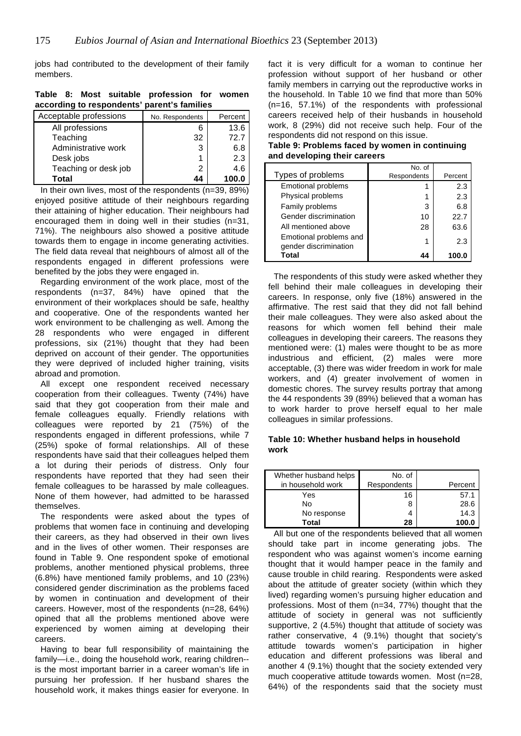jobs had contributed to the development of their family members.

| according to respondents parent strainines |                 |         |
|--------------------------------------------|-----------------|---------|
| Acceptable professions                     | No. Respondents | Percent |
| All professions                            |                 | 13.6    |
| Teaching                                   | 32              | 72.7    |
| Administrative work                        | 3               | 6.8     |
| Desk jobs                                  |                 | 2.3     |
| Teaching or desk job                       | 2               | 4.6     |
| Total                                      | 44              | 100.0   |

**Table 8: Most suitable profession for women**  .<br>.arant'a familiar

In their own lives, most of the respondents (n=39, 89%) enjoyed positive attitude of their neighbours regarding their attaining of higher education. Their neighbours had encouraged them in doing well in their studies (n=31, 71%). The neighbours also showed a positive attitude towards them to engage in income generating activities. The field data reveal that neighbours of almost all of the respondents engaged in different professions were benefited by the jobs they were engaged in.

Regarding environment of the work place, most of the respondents (n=37, 84%) have opined that the environment of their workplaces should be safe, healthy and cooperative. One of the respondents wanted her work environment to be challenging as well. Among the 28 respondents who were engaged in different professions, six (21%) thought that they had been deprived on account of their gender. The opportunities they were deprived of included higher training, visits abroad and promotion.

All except one respondent received necessary cooperation from their colleagues. Twenty (74%) have said that they got cooperation from their male and female colleagues equally. Friendly relations with colleagues were reported by 21 (75%) of the respondents engaged in different professions, while 7 (25%) spoke of formal relationships. All of these respondents have said that their colleagues helped them a lot during their periods of distress. Only four respondents have reported that they had seen their female colleagues to be harassed by male colleagues. None of them however, had admitted to be harassed themselves.

The respondents were asked about the types of problems that women face in continuing and developing their careers, as they had observed in their own lives and in the lives of other women. Their responses are found in Table 9. One respondent spoke of emotional problems, another mentioned physical problems, three (6.8%) have mentioned family problems, and 10 (23%) considered gender discrimination as the problems faced by women in continuation and development of their careers. However, most of the respondents (n=28, 64%) opined that all the problems mentioned above were experienced by women aiming at developing their careers.

Having to bear full responsibility of maintaining the family—i.e., doing the household work, rearing children- is the most important barrier in a career woman's life in pursuing her profession. If her husband shares the household work, it makes things easier for everyone. In

fact it is very difficult for a woman to continue her profession without support of her husband or other family members in carrying out the reproductive works in the household. In Table 10 we find that more than 50% (n=16, 57.1%) of the respondents with professional careers received help of their husbands in household work, 8 (29%) did not receive such help. Four of the respondents did not respond on this issue.

**Table 9: Problems faced by women in continuing and developing their careers** 

|                                                 | No. of      |         |
|-------------------------------------------------|-------------|---------|
| Types of problems                               | Respondents | Percent |
| <b>Emotional problems</b>                       |             | 2.3     |
| Physical problems                               | 1           | 2.3     |
| Family problems                                 | 3           | 6.8     |
| Gender discrimination                           | 10          | 22.7    |
| All mentioned above                             | 28          | 63.6    |
| Emotional problems and<br>gender discrimination | 1           | 2.3     |
| Total                                           | 44          | 100.0   |

The respondents of this study were asked whether they fell behind their male colleagues in developing their careers. In response, only five (18%) answered in the affirmative. The rest said that they did not fall behind their male colleagues. They were also asked about the reasons for which women fell behind their male colleagues in developing their careers. The reasons they mentioned were: (1) males were thought to be as more industrious and efficient, (2) males were more acceptable, (3) there was wider freedom in work for male workers, and (4) greater involvement of women in domestic chores. The survey results portray that among the 44 respondents 39 (89%) believed that a woman has to work harder to prove herself equal to her male colleagues in similar professions.

# **Table 10: Whether husband helps in household work**

| Whether husband helps<br>in household work | No. of<br>Respondents | Percent |
|--------------------------------------------|-----------------------|---------|
| Yes                                        | 16                    | 57.1    |
| No                                         | 8                     | 28.6    |
| No response                                |                       | 14.3    |
| Total                                      | 28                    | 100.0   |

All but one of the respondents believed that all women should take part in income generating jobs. The respondent who was against women's income earning thought that it would hamper peace in the family and cause trouble in child rearing. Respondents were asked about the attitude of greater society (within which they lived) regarding women's pursuing higher education and professions. Most of them (n=34, 77%) thought that the attitude of society in general was not sufficiently supportive, 2 (4.5%) thought that attitude of society was rather conservative, 4 (9.1%) thought that society's attitude towards women's participation in higher education and different professions was liberal and another 4 (9.1%) thought that the society extended very much cooperative attitude towards women. Most (n=28, 64%) of the respondents said that the society must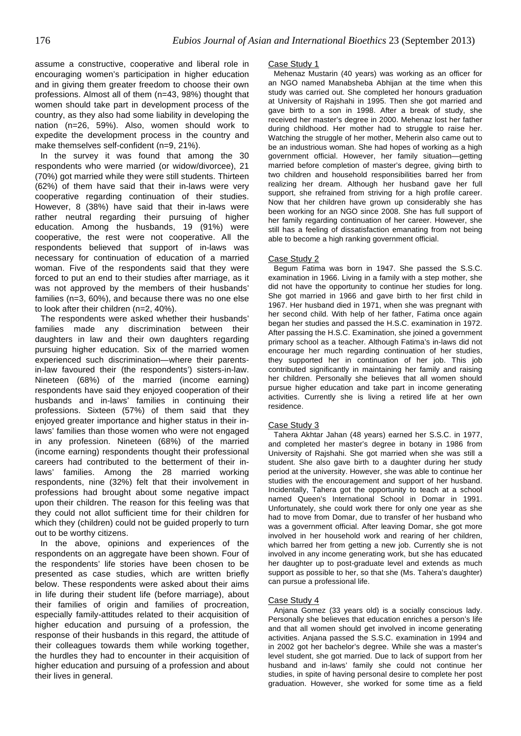assume a constructive, cooperative and liberal role in encouraging women's participation in higher education and in giving them greater freedom to choose their own professions. Almost all of them (n=43, 98%) thought that women should take part in development process of the country, as they also had some liability in developing the nation (n=26, 59%). Also, women should work to expedite the development process in the country and make themselves self-confident (n=9, 21%).

In the survey it was found that among the 30 respondents who were married (or widow/divorcee), 21 (70%) got married while they were still students. Thirteen (62%) of them have said that their in-laws were very cooperative regarding continuation of their studies. However, 8 (38%) have said that their in-laws were rather neutral regarding their pursuing of higher education. Among the husbands, 19 (91%) were cooperative, the rest were not cooperative. All the respondents believed that support of in-laws was necessary for continuation of education of a married woman. Five of the respondents said that they were forced to put an end to their studies after marriage, as it was not approved by the members of their husbands' families (n=3, 60%), and because there was no one else to look after their children (n=2, 40%).

The respondents were asked whether their husbands' families made any discrimination between their daughters in law and their own daughters regarding pursuing higher education. Six of the married women experienced such discrimination—where their parentsin-law favoured their (the respondents') sisters-in-law. Nineteen (68%) of the married (income earning) respondents have said they enjoyed cooperation of their husbands and in-laws' families in continuing their professions. Sixteen (57%) of them said that they enjoyed greater importance and higher status in their inlaws' families than those women who were not engaged in any profession. Nineteen (68%) of the married (income earning) respondents thought their professional careers had contributed to the betterment of their inlaws' families. Among the 28 married working respondents, nine (32%) felt that their involvement in professions had brought about some negative impact upon their children. The reason for this feeling was that they could not allot sufficient time for their children for which they (children) could not be guided properly to turn out to be worthy citizens.

In the above, opinions and experiences of the respondents on an aggregate have been shown. Four of the respondents' life stories have been chosen to be presented as case studies, which are written briefly below. These respondents were asked about their aims in life during their student life (before marriage), about their families of origin and families of procreation, especially family-attitudes related to their acquisition of higher education and pursuing of a profession, the response of their husbands in this regard, the attitude of their colleagues towards them while working together, the hurdles they had to encounter in their acquisition of higher education and pursuing of a profession and about their lives in general.

#### Case Study 1

Mehenaz Mustarin (40 years) was working as an officer for an NGO named Manabsheba Abhijan at the time when this study was carried out. She completed her honours graduation at University of Rajshahi in 1995. Then she got married and gave birth to a son in 1998. After a break of study, she received her master's degree in 2000. Mehenaz lost her father during childhood. Her mother had to struggle to raise her. Watching the struggle of her mother, Meherin also came out to be an industrious woman. She had hopes of working as a high government official. However, her family situation—getting married before completion of master's degree, giving birth to two children and household responsibilities barred her from realizing her dream. Although her husband gave her full support, she refrained from striving for a high profile career. Now that her children have grown up considerably she has been working for an NGO since 2008. She has full support of her family regarding continuation of her career. However, she still has a feeling of dissatisfaction emanating from not being able to become a high ranking government official.

#### Case Study 2

Begum Fatima was born in 1947. She passed the S.S.C. examination in 1966. Living in a family with a step mother, she did not have the opportunity to continue her studies for long. She got married in 1966 and gave birth to her first child in 1967. Her husband died in 1971, when she was pregnant with her second child. With help of her father, Fatima once again began her studies and passed the H.S.C. examination in 1972. After passing the H.S.C. Examination, she joined a government primary school as a teacher. Although Fatima's in-laws did not encourage her much regarding continuation of her studies, they supported her in continuation of her job. This job contributed significantly in maintaining her family and raising her children. Personally she believes that all women should pursue higher education and take part in income generating activities. Currently she is living a retired life at her own residence.

#### Case Study 3

Tahera Akhtar Jahan (48 years) earned her S.S.C. in 1977, and completed her master's degree in botany in 1986 from University of Rajshahi. She got married when she was still a student. She also gave birth to a daughter during her study period at the university. However, she was able to continue her studies with the encouragement and support of her husband. Incidentally, Tahera got the opportunity to teach at a school named Queen's International School in Domar in 1991. Unfortunately, she could work there for only one year as she had to move from Domar, due to transfer of her husband who was a government official. After leaving Domar, she got more involved in her household work and rearing of her children, which barred her from getting a new job. Currently she is not involved in any income generating work, but she has educated her daughter up to post-graduate level and extends as much support as possible to her, so that she (Ms. Tahera's daughter) can pursue a professional life.

#### Case Study 4

Anjana Gomez (33 years old) is a socially conscious lady. Personally she believes that education enriches a person's life and that all women should get involved in income generating activities. Anjana passed the S.S.C. examination in 1994 and in 2002 got her bachelor's degree. While she was a master's level student, she got married. Due to lack of support from her husband and in-laws' family she could not continue her studies, in spite of having personal desire to complete her post graduation. However, she worked for some time as a field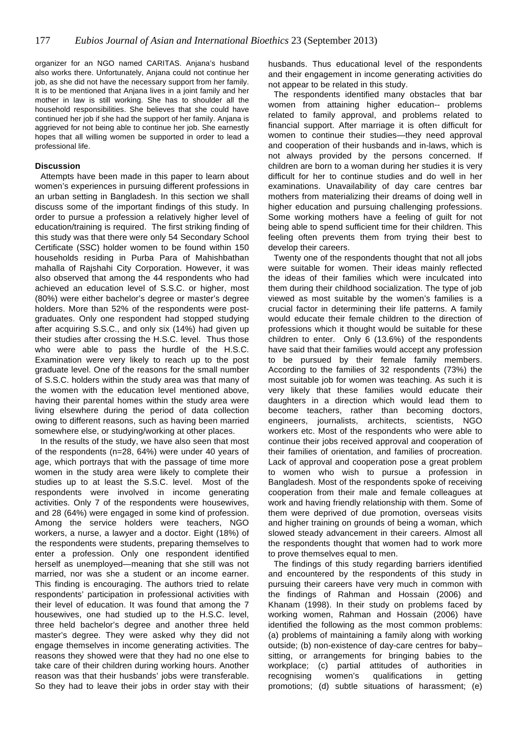organizer for an NGO named CARITAS. Anjana's husband also works there. Unfortunately, Anjana could not continue her job, as she did not have the necessary support from her family. It is to be mentioned that Anjana lives in a joint family and her mother in law is still working. She has to shoulder all the household responsibilities. She believes that she could have continued her job if she had the support of her family. Anjana is aggrieved for not being able to continue her job. She earnestly hopes that all willing women be supported in order to lead a professional life.

#### **Discussion**

Attempts have been made in this paper to learn about women's experiences in pursuing different professions in an urban setting in Bangladesh. In this section we shall discuss some of the important findings of this study. In order to pursue a profession a relatively higher level of education/training is required. The first striking finding of this study was that there were only 54 Secondary School Certificate (SSC) holder women to be found within 150 households residing in Purba Para of Mahishbathan mahalla of Rajshahi City Corporation. However, it was also observed that among the 44 respondents who had achieved an education level of S.S.C. or higher, most (80%) were either bachelor's degree or master's degree holders. More than 52% of the respondents were postgraduates. Only one respondent had stopped studying after acquiring S.S.C., and only six (14%) had given up their studies after crossing the H.S.C. level. Thus those who were able to pass the hurdle of the H.S.C. Examination were very likely to reach up to the post graduate level. One of the reasons for the small number of S.S.C. holders within the study area was that many of the women with the education level mentioned above, having their parental homes within the study area were living elsewhere during the period of data collection owing to different reasons, such as having been married somewhere else, or studying/working at other places.

In the results of the study, we have also seen that most of the respondents (n=28, 64%) were under 40 years of age, which portrays that with the passage of time more women in the study area were likely to complete their studies up to at least the S.S.C. level. Most of the respondents were involved in income generating activities. Only 7 of the respondents were housewives, and 28 (64%) were engaged in some kind of profession. Among the service holders were teachers, NGO workers, a nurse, a lawyer and a doctor. Eight (18%) of the respondents were students, preparing themselves to enter a profession. Only one respondent identified herself as unemployed—meaning that she still was not married, nor was she a student or an income earner. This finding is encouraging. The authors tried to relate respondents' participation in professional activities with their level of education. It was found that among the 7 housewives, one had studied up to the H.S.C. level, three held bachelor's degree and another three held master's degree. They were asked why they did not engage themselves in income generating activities. The reasons they showed were that they had no one else to take care of their children during working hours. Another reason was that their husbands' jobs were transferable. So they had to leave their jobs in order stay with their

husbands. Thus educational level of the respondents and their engagement in income generating activities do not appear to be related in this study.

The respondents identified many obstacles that bar women from attaining higher education-- problems related to family approval, and problems related to financial support. After marriage it is often difficult for women to continue their studies—they need approval and cooperation of their husbands and in-laws, which is not always provided by the persons concerned. If children are born to a woman during her studies it is very difficult for her to continue studies and do well in her examinations. Unavailability of day care centres bar mothers from materializing their dreams of doing well in higher education and pursuing challenging professions. Some working mothers have a feeling of guilt for not being able to spend sufficient time for their children. This feeling often prevents them from trying their best to develop their careers.

Twenty one of the respondents thought that not all jobs were suitable for women. Their ideas mainly reflected the ideas of their families which were inculcated into them during their childhood socialization. The type of job viewed as most suitable by the women's families is a crucial factor in determining their life patterns. A family would educate their female children to the direction of professions which it thought would be suitable for these children to enter. Only 6 (13.6%) of the respondents have said that their families would accept any profession to be pursued by their female family members. According to the families of 32 respondents (73%) the most suitable job for women was teaching. As such it is very likely that these families would educate their daughters in a direction which would lead them to become teachers, rather than becoming doctors, engineers, journalists, architects, scientists, NGO workers etc. Most of the respondents who were able to continue their jobs received approval and cooperation of their families of orientation, and families of procreation. Lack of approval and cooperation pose a great problem to women who wish to pursue a profession in Bangladesh. Most of the respondents spoke of receiving cooperation from their male and female colleagues at work and having friendly relationship with them. Some of them were deprived of due promotion, overseas visits and higher training on grounds of being a woman, which slowed steady advancement in their careers. Almost all the respondents thought that women had to work more to prove themselves equal to men.

The findings of this study regarding barriers identified and encountered by the respondents of this study in pursuing their careers have very much in common with the findings of Rahman and Hossain (2006) and Khanam (1998). In their study on problems faced by working women, Rahman and Hossain (2006) have identified the following as the most common problems: (a) problems of maintaining a family along with working outside; (b) non-existence of day-care centres for baby– sitting, or arrangements for bringing babies to the workplace; (c) partial attitudes of authorities in recognising women's qualifications in getting promotions; (d) subtle situations of harassment; (e)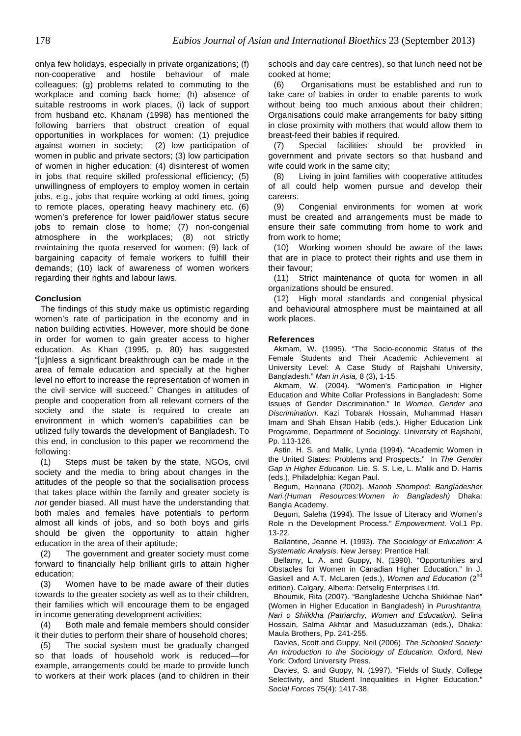onlya few holidays, especially in private organizations; (f) non-cooperative and hostile behaviour of male colleagues; (g) problems related to commuting to the workplace and coming back home; (h) absence of suitable restrooms in work places, (i) lack of support from husband etc. Khanam (1998) has mentioned the following barriers that obstruct creation of equal opportunities in workplaces for women: (1) prejudice against women in society; (2) low participation of women in public and private sectors; (3) low participation of women in higher education; (4) disinterest of women in jobs that require skilled professional efficiency; (5) unwillingness of employers to employ women in certain jobs, e.g., jobs that require working at odd times, going to remote places, operating heavy machinery etc. (6) women's preference for lower paid/lower status secure jobs to remain close to home; (7) non-congenial atmosphere in the workplaces; (8) not strictly maintaining the quota reserved for women; (9) lack of bargaining capacity of female workers to fulfill their demands; (10) lack of awareness of women workers regarding their rights and labour laws.

# **Conclusion**

The findings of this study make us optimistic regarding women's rate of participation in the economy and in nation building activities. However, more should be done in order for women to gain greater access to higher education. As Khan (1995, p. 80) has suggested "[u]nless a significant breakthrough can be made in the area of female education and specially at the higher level no effort to increase the representation of women in the civil service will succeed." Changes in attitudes of people and cooperation from all relevant corners of the society and the state is required to create an environment in which women's capabilities can be utilized fully towards the development of Bangladesh. To this end, in conclusion to this paper we recommend the following:

(1) Steps must be taken by the state, NGOs, civil society and the media to bring about changes in the attitudes of the people so that the socialisation process that takes place within the family and greater society is not gender biased. All must have the understanding that both males and females have potentials to perform almost all kinds of jobs, and so both boys and girls should be given the opportunity to attain higher education in the area of their aptitude;

(2) The government and greater society must come forward to financially help brilliant girls to attain higher education;

(3) Women have to be made aware of their duties towards to the greater society as well as to their children, their families which will encourage them to be engaged in income generating development activities;

(4) Both male and female members should consider it their duties to perform their share of household chores;

(5) The social system must be gradually changed so that loads of household work is reduced—for example, arrangements could be made to provide lunch to workers at their work places (and to children in their

schools and day care centres), so that lunch need not be cooked at home;

(6) Organisations must be established and run to take care of babies in order to enable parents to work without being too much anxious about their children; Organisations could make arrangements for baby sitting in close proximity with mothers that would allow them to breast-feed their babies if required.

(7) Special facilities should be provided in government and private sectors so that husband and wife could work in the same city;

(8) Living in joint families with cooperative attitudes of all could help women pursue and develop their careers.

(9) Congenial environments for women at work must be created and arrangements must be made to ensure their safe commuting from home to work and from work to home;

(10) Working women should be aware of the laws that are in place to protect their rights and use them in their favour;

(11) Strict maintenance of quota for women in all organizations should be ensured.

(12) High moral standards and congenial physical and behavioural atmosphere must be maintained at all work places.

# **References**

Akmam, W. (1995). "The Socio-economic Status of the Female Students and Their Academic Achievement at University Level: A Case Study of Rajshahi University, Bangladesh." Man in Asia, 8 (3), 1-15.

Akmam, W. (2004). "Women's Participation in Higher Education and White Collar Professions in Bangladesh: Some Issues of Gender Discrimination." In Women, Gender and Discrimination. Kazi Tobarak Hossain, Muhammad Hasan Imam and Shah Ehsan Habib (eds.). Higher Education Link Programme, Department of Sociology, University of Rajshahi, Pp. 113-126.

Astin, H. S. and Malik, Lynda (1994). "Academic Women in the United States: Problems and Prospects." In The Gender Gap in Higher Education. Lie, S. S. Lie, L. Malik and D. Harris (eds.), Philadelphia: Kegan Paul.

Begum, Hannana (2002). Manob Shompod: Bangladesher Nari.(Human Resources:Women in Bangladesh) Dhaka: Bangla Academy.

Begum, Saleha (1994). The Issue of Literacy and Women's Role in the Development Process." Empowerment. Vol.1 Pp. 13-22.

Ballantine, Jeanne H. (1993). The Sociology of Education: A Systematic Analysis. New Jersey: Prentice Hall.

Bellamy, L. A. and Guppy, N. (1990). "Opportunities and Obstacles for Women in Canadian Higher Education." In J. Gaskell and A.T. McLaren (eds.), Women and Education (2nd edition). Calgary, Alberta: Detselig Enterprises Ltd.

Bhoumik, Rita (2007). "Bangladeshe Uchcha Shikkhae Nari" (Women in Higher Education in Bangladesh) in Purushtantra, Nari o Shiikkha (Patriarchy, Women and Education). Selina Hossain, Salma Akhtar and Masuduzzaman (eds.), Dhaka: Maula Brothers, Pp. 241-255.

Davies, Scott and Guppy, Neil (2006). The Schooled Society: An Introduction to the Sociology of Education. Oxford, New York: Oxford University Press.

Davies, S. and Guppy, N. (1997). "Fields of Study, College Selectivity, and Student Inequalities in Higher Education." Social Forces 75(4): 1417-38.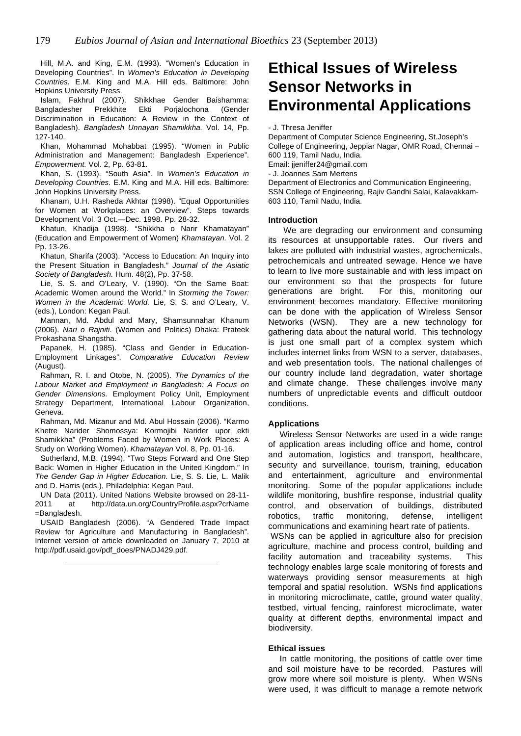Hill, M.A. and King, E.M. (1993). "Women's Education in Developing Countries". In Women's Education in Developing Countries. E.M. King and M.A. Hill eds. Baltimore: John Hopkins University Press.

Islam, Fakhrul (2007). Shikkhae Gender Baishamma: Bangladesher Prekkhite Ekti Porjalochona (Gender Discrimination in Education: A Review in the Context of Bangladesh). Bangladesh Unnayan Shamikkha. Vol. 14, Pp. 127-140.

Khan, Mohammad Mohabbat (1995). "Women in Public Administration and Management: Bangladesh Experience". Empowerment. Vol. 2, Pp. 63-81.

Khan, S. (1993). "South Asia". In Women's Education in Developing Countries. E.M. King and M.A. Hill eds. Baltimore: John Hopkins University Press.

Khanam, U.H. Rasheda Akhtar (1998). "Equal Opportunities for Women at Workplaces: an Overview". Steps towards Development Vol. 3 Oct.—Dec. 1998. Pp. 28-32.

Khatun, Khadija (1998). "Shikkha o Narir Khamatayan" (Education and Empowerment of Women) Khamatayan. Vol. 2 Pp. 13-26.

Khatun, Sharifa (2003). "Access to Education: An Inquiry into the Present Situation in Bangladesh." Journal of the Asiatic Society of Bangladesh. Hum. 48(2), Pp. 37-58.

Lie, S. S. and O'Leary, V. (1990). "On the Same Boat: Academic Women around the World." In Storming the Tower: Women in the Academic World. Lie, S. S. and O'Leary, V. (eds.), London: Kegan Paul.

Mannan, Md. Abdul and Mary, Shamsunnahar Khanum (2006). Nari o Rajniti. (Women and Politics) Dhaka: Prateek Prokashana Shangstha.

Papanek, H. (1985). "Class and Gender in Education-Employment Linkages". Comparative Education Review (August).

Rahman, R. I. and Otobe, N. (2005). The Dynamics of the Labour Market and Employment in Bangladesh: A Focus on Gender Dimensions. Employment Policy Unit, Employment Strategy Department, International Labour Organization, Geneva.

Rahman, Md. Mizanur and Md. Abul Hossain (2006). "Karmo Khetre Narider Shomossya: Kormojibi Narider upor ekti Shamikkha" (Problems Faced by Women in Work Places: A Study on Working Women). Khamatayan Vol. 8, Pp. 01-16.

Sutherland, M.B. (1994). "Two Steps Forward and One Step Back: Women in Higher Education in the United Kingdom." In The Gender Gap in Higher Education. Lie, S. S. Lie, L. Malik and D. Harris (eds.), Philadelphia: Kegan Paul.

UN Data (2011). United Nations Website browsed on 28-11- 2011 at http://data.un.org/CountryProfile.aspx?crName =Bangladesh.

USAID Bangladesh (2006). "A Gendered Trade Impact Review for Agriculture and Manufacturing in Bangladesh". Internet version of article downloaded on January 7, 2010 at http://pdf.usaid.gov/pdf\_does/PNADJ429.pdf.

# **Ethical Issues of Wireless Sensor Networks in Environmental Applications**

- J. Thresa Jeniffer

Department of Computer Science Engineering, St.Joseph's College of Engineering, Jeppiar Nagar, OMR Road, Chennai – 600 119, Tamil Nadu, India. Email: jjeniffer24@gmail.com - J. Joannes Sam Mertens

Department of Electronics and Communication Engineering, SSN College of Engineering, Rajiv Gandhi Salai, Kalavakkam-603 110, Tamil Nadu, India.

#### **Introduction**

We are degrading our environment and consuming its resources at unsupportable rates. Our rivers and lakes are polluted with industrial wastes, agrochemicals, petrochemicals and untreated sewage. Hence we have to learn to live more sustainable and with less impact on our environment so that the prospects for future generations are bright. For this, monitoring our environment becomes mandatory. Effective monitoring can be done with the application of Wireless Sensor Networks (WSN). They are a new technology for gathering data about the natural world. This technology is just one small part of a complex system which includes internet links from WSN to a server, databases, and web presentation tools. The national challenges of our country include land degradation, water shortage and climate change. These challenges involve many numbers of unpredictable events and difficult outdoor conditions.

#### **Applications**

Wireless Sensor Networks are used in a wide range of application areas including office and home, control and automation, logistics and transport, healthcare, security and surveillance, tourism, training, education and entertainment, agriculture and environmental monitoring. Some of the popular applications include wildlife monitoring, bushfire response, industrial quality control, and observation of buildings, distributed robotics, traffic monitoring, defense, intelligent communications and examining heart rate of patients.

WSNs can be applied in agriculture also for precision agriculture, machine and process control, building and facility automation and traceability systems. This technology enables large scale monitoring of forests and waterways providing sensor measurements at high temporal and spatial resolution. WSNs find applications in monitoring microclimate, cattle, ground water quality, testbed, virtual fencing, rainforest microclimate, water quality at different depths, environmental impact and biodiversity.

### **Ethical issues**

In cattle monitoring, the positions of cattle over time and soil moisture have to be recorded. Pastures will grow more where soil moisture is plenty. When WSNs were used, it was difficult to manage a remote network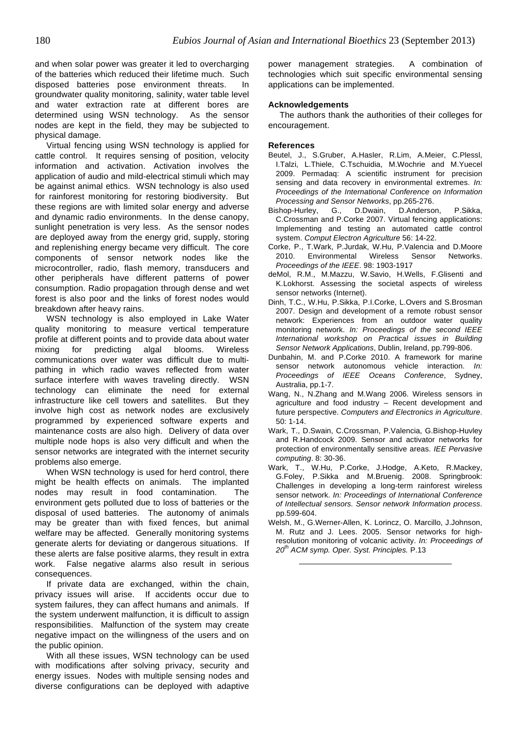and when solar power was greater it led to overcharging of the batteries which reduced their lifetime much. Such disposed batteries pose environment threats. In groundwater quality monitoring, salinity, water table level and water extraction rate at different bores are determined using WSN technology. As the sensor nodes are kept in the field, they may be subjected to physical damage.

Virtual fencing using WSN technology is applied for cattle control. It requires sensing of position, velocity information and activation. Activation involves the application of audio and mild-electrical stimuli which may be against animal ethics. WSN technology is also used for rainforest monitoring for restoring biodiversity. But these regions are with limited solar energy and adverse and dynamic radio environments. In the dense canopy, sunlight penetration is very less. As the sensor nodes are deployed away from the energy grid, supply, storing and replenishing energy became very difficult. The core components of sensor network nodes like the microcontroller, radio, flash memory, transducers and other peripherals have different patterns of power consumption. Radio propagation through dense and wet forest is also poor and the links of forest nodes would breakdown after heavy rains.

WSN technology is also employed in Lake Water quality monitoring to measure vertical temperature profile at different points and to provide data about water mixing for predicting algal blooms. Wireless communications over water was difficult due to multipathing in which radio waves reflected from water surface interfere with waves traveling directly. WSN technology can eliminate the need for external infrastructure like cell towers and satellites. But they involve high cost as network nodes are exclusively programmed by experienced software experts and maintenance costs are also high. Delivery of data over multiple node hops is also very difficult and when the sensor networks are integrated with the internet security problems also emerge.

When WSN technology is used for herd control, there might be health effects on animals. The implanted nodes may result in food contamination. The environment gets polluted due to loss of batteries or the disposal of used batteries. The autonomy of animals may be greater than with fixed fences, but animal welfare may be affected. Generally monitoring systems generate alerts for deviating or dangerous situations. If these alerts are false positive alarms, they result in extra work. False negative alarms also result in serious consequences.

If private data are exchanged, within the chain, privacy issues will arise. If accidents occur due to system failures, they can affect humans and animals. If the system underwent malfunction, it is difficult to assign responsibilities. Malfunction of the system may create negative impact on the willingness of the users and on the public opinion.

With all these issues, WSN technology can be used with modifications after solving privacy, security and energy issues. Nodes with multiple sensing nodes and diverse configurations can be deployed with adaptive

power management strategies. A combination of technologies which suit specific environmental sensing applications can be implemented.

### **Acknowledgements**

The authors thank the authorities of their colleges for encouragement.

#### **References**

- Beutel, J., S.Gruber, A.Hasler, R.Lim, A.Meier, C.Plessl, I.Talzi, L.Thiele, C.Tschuidia, M.Wochrie and M.Yuecel 2009. Permadaq: A scientific instrument for precision sensing and data recovery in environmental extremes. In: Proceedings of the International Conference on Information Processing and Sensor Networks, pp.265-276.
- Bishop-Hurley, G., D.Dwain, D.Anderson, P.Sikka, C.Crossman and P.Corke 2007. Virtual fencing applications: Implementing and testing an automated cattle control system. Comput Electron Agriculture 56: 14-22.
- Corke, P., T.Wark, P.Jurdak, W.Hu, P.Valencia and D.Moore 2010. Environmental Wireless Sensor Networks. Proceedings of the IEEE. 98: 1903-1917
- deMol, R.M., M.Mazzu, W.Savio, H.Wells, F.Glisenti and K.Lokhorst. Assessing the societal aspects of wireless sensor networks (Internet).
- Dinh, T.C., W.Hu, P.Sikka, P.I.Corke, L.Overs and S.Brosman 2007. Design and development of a remote robust sensor network: Experiences from an outdoor water quality monitoring network. In: Proceedings of the second IEEE International workshop on Practical issues in Building Sensor Network Applications, Dublin, Ireland, pp.799-806.
- Dunbahin, M. and P.Corke 2010. A framework for marine sensor network autonomous vehicle interaction. In: Proceedings of IEEE Oceans Conference, Sydney, Australia, pp.1-7.
- Wang, N., N.Zhang and M.Wang 2006. Wireless sensors in agriculture and food industry – Recent development and future perspective. Computers and Electronics in Agriculture. 50: 1-14.
- Wark, T., D.Swain, C.Crossman, P.Valencia, G.Bishop-Huvley and R.Handcock 2009. Sensor and activator networks for protection of environmentally sensitive areas. IEE Pervasive computing. 8: 30-36.
- Wark, T., W.Hu, P.Corke, J.Hodge, A.Keto, R.Mackey, G.Foley, P.Sikka and M.Bruenig. 2008. Springbrook: Challenges in developing a long-term rainforest wireless sensor network. In: Proceedings of International Conference of Intellectual sensors. Sensor network Information process. pp.599-604.
- Welsh, M., G.Werner-Allen, K. Lorincz, O. Marcillo, J.Johnson, M. Rutz and J. Lees. 2005. Sensor networks for highresolution monitoring of volcanic activity. In: Proceedings of 20<sup>th</sup> ACM symp. Oper. Syst. Principles. P.13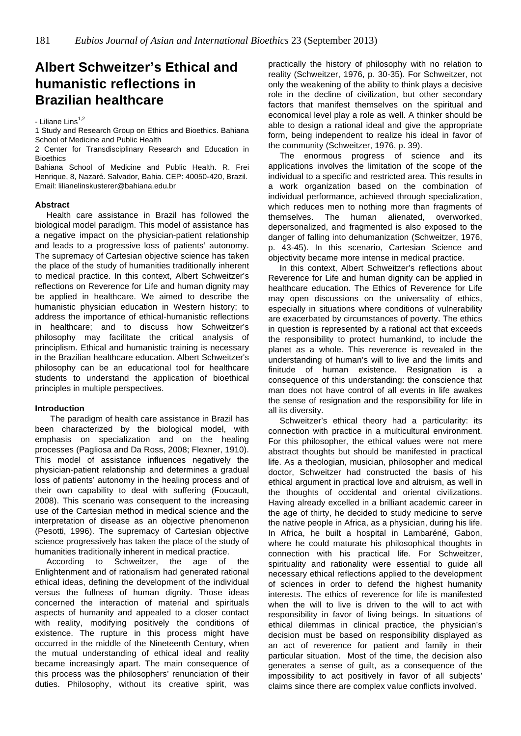# **Albert Schweitzer's Ethical and humanistic reflections in Brazilian healthcare**

- Liliane Lins $1,2$ 

1 Study and Research Group on Ethics and Bioethics. Bahiana School of Medicine and Public Health

2 Center for Transdisciplinary Research and Education in **Bioethics** 

Bahiana School of Medicine and Public Health. R. Frei Henrique, 8, Nazaré. Salvador, Bahia. CEP: 40050-420, Brazil. Email: lilianelinskusterer@bahiana.edu.br

#### **Abstract**

Health care assistance in Brazil has followed the biological model paradigm. This model of assistance has a negative impact on the physician-patient relationship and leads to a progressive loss of patients' autonomy. The supremacy of Cartesian objective science has taken the place of the study of humanities traditionally inherent to medical practice. In this context, Albert Schweitzer's reflections on Reverence for Life and human dignity may be applied in healthcare. We aimed to describe the humanistic physician education in Western history; to address the importance of ethical-humanistic reflections in healthcare; and to discuss how Schweitzer's philosophy may facilitate the critical analysis of principlism. Ethical and humanistic training is necessary in the Brazilian healthcare education. Albert Schweitzer's philosophy can be an educational tool for healthcare students to understand the application of bioethical principles in multiple perspectives.

# **Introduction**

The paradigm of health care assistance in Brazil has been characterized by the biological model, with emphasis on specialization and on the healing processes (Pagliosa and Da Ross, 2008; Flexner, 1910). This model of assistance influences negatively the physician-patient relationship and determines a gradual loss of patients' autonomy in the healing process and of their own capability to deal with suffering (Foucault, 2008). This scenario was consequent to the increasing use of the Cartesian method in medical science and the interpretation of disease as an objective phenomenon (Pesotti, 1996). The supremacy of Cartesian objective science progressively has taken the place of the study of humanities traditionally inherent in medical practice.

According to Schweitzer, the age of the Enlightenment and of rationalism had generated rational ethical ideas, defining the development of the individual versus the fullness of human dignity. Those ideas concerned the interaction of material and spirituals aspects of humanity and appealed to a closer contact with reality, modifying positively the conditions of existence. The rupture in this process might have occurred in the middle of the Nineteenth Century, when the mutual understanding of ethical ideal and reality became increasingly apart. The main consequence of this process was the philosophers' renunciation of their duties. Philosophy, without its creative spirit, was

practically the history of philosophy with no relation to reality (Schweitzer, 1976, p. 30-35). For Schweitzer, not only the weakening of the ability to think plays a decisive role in the decline of civilization, but other secondary factors that manifest themselves on the spiritual and economical level play a role as well. A thinker should be able to design a rational ideal and give the appropriate form, being independent to realize his ideal in favor of the community (Schweitzer, 1976, p. 39).

The enormous progress of science and its applications involves the limitation of the scope of the individual to a specific and restricted area. This results in a work organization based on the combination of individual performance, achieved through specialization, which reduces men to nothing more than fragments of themselves. The human alienated, overworked, depersonalized, and fragmented is also exposed to the danger of falling into dehumanization (Schweitzer, 1976, p. 43-45). In this scenario, Cartesian Science and objectivity became more intense in medical practice.

In this context, Albert Schweitzer's reflections about Reverence for Life and human dignity can be applied in healthcare education. The Ethics of Reverence for Life may open discussions on the universality of ethics, especially in situations where conditions of vulnerability are exacerbated by circumstances of poverty. The ethics in question is represented by a rational act that exceeds the responsibility to protect humankind, to include the planet as a whole. This reverence is revealed in the understanding of human's will to live and the limits and finitude of human existence. Resignation is a consequence of this understanding: the conscience that man does not have control of all events in life awakes the sense of resignation and the responsibility for life in all its diversity.

Schweitzer's ethical theory had a particularity: its connection with practice in a multicultural environment. For this philosopher, the ethical values were not mere abstract thoughts but should be manifested in practical life. As a theologian, musician, philosopher and medical doctor, Schweitzer had constructed the basis of his ethical argument in practical love and altruism, as well in the thoughts of occidental and oriental civilizations. Having already excelled in a brilliant academic career in the age of thirty, he decided to study medicine to serve the native people in Africa, as a physician, during his life. In Africa, he built a hospital in Lambaréné, Gabon, where he could maturate his philosophical thoughts in connection with his practical life. For Schweitzer, spirituality and rationality were essential to guide all necessary ethical reflections applied to the development of sciences in order to defend the highest humanity interests. The ethics of reverence for life is manifested when the will to live is driven to the will to act with responsibility in favor of living beings. In situations of ethical dilemmas in clinical practice, the physician's decision must be based on responsibility displayed as an act of reverence for patient and family in their particular situation. Most of the time, the decision also generates a sense of guilt, as a consequence of the impossibility to act positively in favor of all subjects' claims since there are complex value conflicts involved.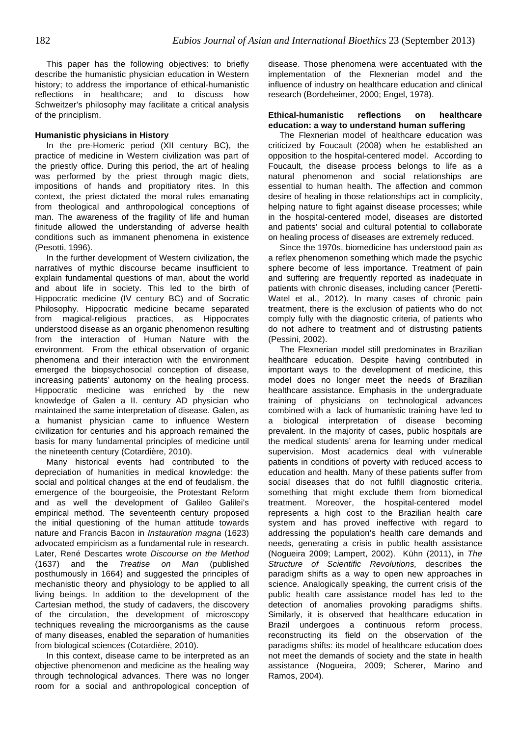This paper has the following objectives: to briefly describe the humanistic physician education in Western history; to address the importance of ethical-humanistic reflections in healthcare; and to discuss how Schweitzer's philosophy may facilitate a critical analysis of the principlism.

# **Humanistic physicians in History**

In the pre-Homeric period (XII century BC), the practice of medicine in Western civilization was part of the priestly office. During this period, the art of healing was performed by the priest through magic diets, impositions of hands and propitiatory rites. In this context, the priest dictated the moral rules emanating from theological and anthropological conceptions of man. The awareness of the fragility of life and human finitude allowed the understanding of adverse health conditions such as immanent phenomena in existence (Pesotti, 1996).

In the further development of Western civilization, the narratives of mythic discourse became insufficient to explain fundamental questions of man, about the world and about life in society. This led to the birth of Hippocratic medicine (IV century BC) and of Socratic Philosophy. Hippocratic medicine became separated from magical-religious practices, as Hippocrates understood disease as an organic phenomenon resulting from the interaction of Human Nature with the environment. From the ethical observation of organic phenomena and their interaction with the environment emerged the biopsychosocial conception of disease, increasing patients' autonomy on the healing process. Hippocratic medicine was enriched by the new knowledge of Galen a II. century AD physician who maintained the same interpretation of disease. Galen, as a humanist physician came to influence Western civilization for centuries and his approach remained the basis for many fundamental principles of medicine until the nineteenth century (Cotardière, 2010).

Many historical events had contributed to the depreciation of humanities in medical knowledge: the social and political changes at the end of feudalism, the emergence of the bourgeoisie, the Protestant Reform and as well the development of Galileo Galilei's empirical method. The seventeenth century proposed the initial questioning of the human attitude towards nature and Francis Bacon in Instauration magna (1623) advocated empiricism as a fundamental rule in research. Later, René Descartes wrote Discourse on the Method (1637) and the Treatise on Man (published posthumously in 1664) and suggested the principles of mechanistic theory and physiology to be applied to all living beings. In addition to the development of the Cartesian method, the study of cadavers, the discovery of the circulation, the development of microscopy techniques revealing the microorganisms as the cause of many diseases, enabled the separation of humanities from biological sciences (Cotardière, 2010).

In this context, disease came to be interpreted as an objective phenomenon and medicine as the healing way through technological advances. There was no longer room for a social and anthropological conception of

disease. Those phenomena were accentuated with the implementation of the Flexnerian model and the influence of industry on healthcare education and clinical research (Bordeheimer, 2000; Engel, 1978).

### **Ethical-humanistic reflections on healthcare education: a way to understand human suffering**

The Flexnerian model of healthcare education was criticized by Foucault (2008) when he established an opposition to the hospital-centered model. According to Foucault, the disease process belongs to life as a natural phenomenon and social relationships are essential to human health. The affection and common desire of healing in those relationships act in complicity, helping nature to fight against disease processes; while in the hospital-centered model, diseases are distorted and patients' social and cultural potential to collaborate on healing process of diseases are extremely reduced.

Since the 1970s, biomedicine has understood pain as a reflex phenomenon something which made the psychic sphere become of less importance. Treatment of pain and suffering are frequently reported as inadequate in patients with chronic diseases, including cancer (Peretti-Watel et al., 2012). In many cases of chronic pain treatment, there is the exclusion of patients who do not comply fully with the diagnostic criteria, of patients who do not adhere to treatment and of distrusting patients (Pessini, 2002).

The Flexnerian model still predominates in Brazilian healthcare education. Despite having contributed in important ways to the development of medicine, this model does no longer meet the needs of Brazilian healthcare assistance. Emphasis in the undergraduate training of physicians on technological advances combined with a lack of humanistic training have led to a biological interpretation of disease becoming prevalent. In the majority of cases, public hospitals are the medical students' arena for learning under medical supervision. Most academics deal with vulnerable patients in conditions of poverty with reduced access to education and health. Many of these patients suffer from social diseases that do not fulfill diagnostic criteria, something that might exclude them from biomedical treatment. Moreover, the hospital-centered model represents a high cost to the Brazilian health care system and has proved ineffective with regard to addressing the population's health care demands and needs, generating a crisis in public health assistance (Nogueira 2009; Lampert, 2002). Kühn (2011), in The Structure of Scientific Revolutions, describes the paradigm shifts as a way to open new approaches in science. Analogically speaking, the current crisis of the public health care assistance model has led to the detection of anomalies provoking paradigms shifts. Similarly, it is observed that healthcare education in Brazil undergoes a continuous reform process, reconstructing its field on the observation of the paradigms shifts: its model of healthcare education does not meet the demands of society and the state in health assistance (Nogueira, 2009; Scherer, Marino and Ramos, 2004).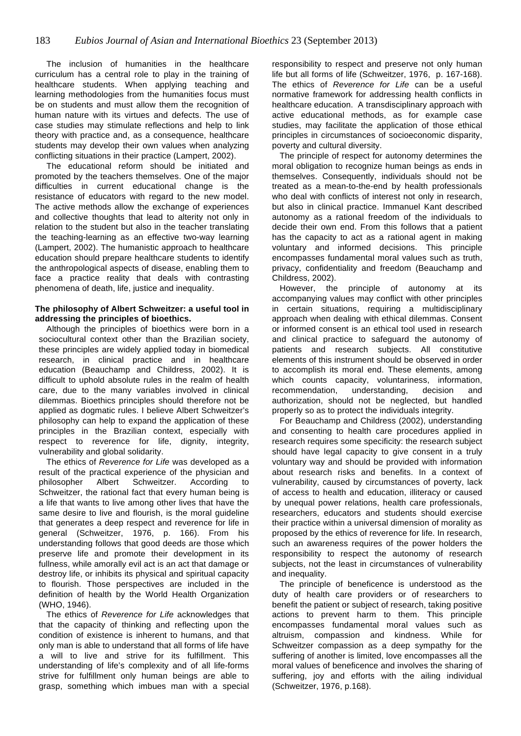The inclusion of humanities in the healthcare curriculum has a central role to play in the training of healthcare students. When applying teaching and learning methodologies from the humanities focus must be on students and must allow them the recognition of human nature with its virtues and defects. The use of case studies may stimulate reflections and help to link theory with practice and, as a consequence, healthcare students may develop their own values when analyzing conflicting situations in their practice (Lampert, 2002).

The educational reform should be initiated and promoted by the teachers themselves. One of the major difficulties in current educational change is the resistance of educators with regard to the new model. The active methods allow the exchange of experiences and collective thoughts that lead to alterity not only in relation to the student but also in the teacher translating the teaching-learning as an effective two-way learning (Lampert, 2002). The humanistic approach to healthcare education should prepare healthcare students to identify the anthropological aspects of disease, enabling them to face a practice reality that deals with contrasting phenomena of death, life, justice and inequality.

# **The philosophy of Albert Schweitzer: a useful tool in addressing the principles of bioethics.**

Although the principles of bioethics were born in a sociocultural context other than the Brazilian society, these principles are widely applied today in biomedical research, in clinical practice and in healthcare education (Beauchamp and Childress, 2002). It is difficult to uphold absolute rules in the realm of health care, due to the many variables involved in clinical dilemmas. Bioethics principles should therefore not be applied as dogmatic rules. I believe Albert Schweitzer's philosophy can help to expand the application of these principles in the Brazilian context, especially with respect to reverence for life, dignity, integrity, vulnerability and global solidarity.

The ethics of Reverence for Life was developed as a result of the practical experience of the physician and philosopher Albert Schweitzer. According to Schweitzer, the rational fact that every human being is a life that wants to live among other lives that have the same desire to live and flourish, is the moral guideline that generates a deep respect and reverence for life in general (Schweitzer, 1976, p. 166). From his understanding follows that good deeds are those which preserve life and promote their development in its fullness, while amorally evil act is an act that damage or destroy life, or inhibits its physical and spiritual capacity to flourish. Those perspectives are included in the definition of health by the World Health Organization (WHO, 1946).

The ethics of Reverence for Life acknowledges that that the capacity of thinking and reflecting upon the condition of existence is inherent to humans, and that only man is able to understand that all forms of life have a will to live and strive for its fulfillment. This understanding of life's complexity and of all life-forms strive for fulfillment only human beings are able to grasp, something which imbues man with a special

responsibility to respect and preserve not only human life but all forms of life (Schweitzer, 1976, p. 167-168). The ethics of Reverence for Life can be a useful normative framework for addressing health conflicts in healthcare education. A transdisciplinary approach with active educational methods, as for example case studies, may facilitate the application of those ethical principles in circumstances of socioeconomic disparity, poverty and cultural diversity.

The principle of respect for autonomy determines the moral obligation to recognize human beings as ends in themselves. Consequently, individuals should not be treated as a mean-to-the-end by health professionals who deal with conflicts of interest not only in research, but also in clinical practice. Immanuel Kant described autonomy as a rational freedom of the individuals to decide their own end. From this follows that a patient has the capacity to act as a rational agent in making voluntary and informed decisions. This principle encompasses fundamental moral values such as truth, privacy, confidentiality and freedom (Beauchamp and Childress, 2002).

However, the principle of autonomy at its accompanying values may conflict with other principles in certain situations, requiring a multidisciplinary approach when dealing with ethical dilemmas. Consent or informed consent is an ethical tool used in research and clinical practice to safeguard the autonomy of patients and research subjects. All constitutive elements of this instrument should be observed in order to accomplish its moral end. These elements, among which counts capacity, voluntariness, information, recommendation, understanding, decision and authorization, should not be neglected, but handled properly so as to protect the individuals integrity.

For Beauchamp and Childress (2002), understanding and consenting to health care procedures applied in research requires some specificity: the research subject should have legal capacity to give consent in a truly voluntary way and should be provided with information about research risks and benefits. In a context of vulnerability, caused by circumstances of poverty, lack of access to health and education, illiteracy or caused by unequal power relations, health care professionals, researchers, educators and students should exercise their practice within a universal dimension of morality as proposed by the ethics of reverence for life. In research, such an awareness requires of the power holders the responsibility to respect the autonomy of research subjects, not the least in circumstances of vulnerability and inequality.

The principle of beneficence is understood as the duty of health care providers or of researchers to benefit the patient or subject of research, taking positive actions to prevent harm to them. This principle encompasses fundamental moral values such as altruism, compassion and kindness. While for Schweitzer compassion as a deep sympathy for the suffering of another is limited, love encompasses all the moral values of beneficence and involves the sharing of suffering, joy and efforts with the ailing individual (Schweitzer, 1976, p.168).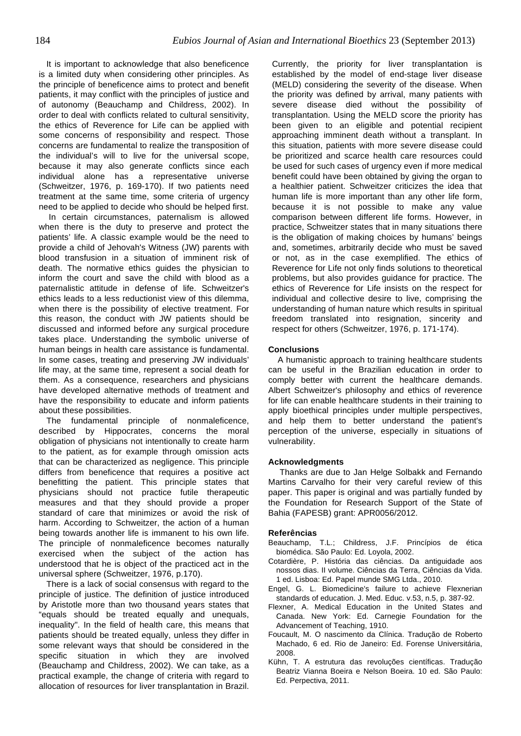It is important to acknowledge that also beneficence is a limited duty when considering other principles. As the principle of beneficence aims to protect and benefit patients, it may conflict with the principles of justice and of autonomy (Beauchamp and Childress, 2002). In order to deal with conflicts related to cultural sensitivity, the ethics of Reverence for Life can be applied with some concerns of responsibility and respect. Those concerns are fundamental to realize the transposition of the individual's will to live for the universal scope, because it may also generate conflicts since each individual alone has a representative universe (Schweitzer, 1976, p. 169-170). If two patients need treatment at the same time, some criteria of urgency need to be applied to decide who should be helped first.

In certain circumstances, paternalism is allowed when there is the duty to preserve and protect the patients' life. A classic example would be the need to provide a child of Jehovah's Witness (JW) parents with blood transfusion in a situation of imminent risk of death. The normative ethics guides the physician to inform the court and save the child with blood as a paternalistic attitude in defense of life. Schweitzer's ethics leads to a less reductionist view of this dilemma, when there is the possibility of elective treatment. For this reason, the conduct with JW patients should be discussed and informed before any surgical procedure takes place. Understanding the symbolic universe of human beings in health care assistance is fundamental. In some cases, treating and preserving JW individuals' life may, at the same time, represent a social death for them. As a consequence, researchers and physicians have developed alternative methods of treatment and have the responsibility to educate and inform patients about these possibilities.

The fundamental principle of nonmaleficence, described by Hippocrates, concerns the moral obligation of physicians not intentionally to create harm to the patient, as for example through omission acts that can be characterized as negligence. This principle differs from beneficence that requires a positive act benefitting the patient. This principle states that physicians should not practice futile therapeutic measures and that they should provide a proper standard of care that minimizes or avoid the risk of harm. According to Schweitzer, the action of a human being towards another life is immanent to his own life. The principle of nonmaleficence becomes naturally exercised when the subject of the action has understood that he is object of the practiced act in the universal sphere (Schweitzer, 1976, p.170).

There is a lack of social consensus with regard to the principle of justice. The definition of justice introduced by Aristotle more than two thousand years states that "equals should be treated equally and unequals, inequality". In the field of health care, this means that patients should be treated equally, unless they differ in some relevant ways that should be considered in the specific situation in which they are involved (Beauchamp and Childress, 2002). We can take, as a practical example, the change of criteria with regard to allocation of resources for liver transplantation in Brazil.

Currently, the priority for liver transplantation is established by the model of end-stage liver disease (MELD) considering the severity of the disease. When the priority was defined by arrival, many patients with severe disease died without the possibility of transplantation. Using the MELD score the priority has been given to an eligible and potential recipient approaching imminent death without a transplant. In this situation, patients with more severe disease could be prioritized and scarce health care resources could be used for such cases of urgency even if more medical benefit could have been obtained by giving the organ to a healthier patient. Schweitzer criticizes the idea that human life is more important than any other life form, because it is not possible to make any value comparison between different life forms. However, in practice, Schweitzer states that in many situations there is the obligation of making choices by humans' beings and, sometimes, arbitrarily decide who must be saved or not, as in the case exemplified. The ethics of Reverence for Life not only finds solutions to theoretical problems, but also provides guidance for practice. The ethics of Reverence for Life insists on the respect for individual and collective desire to live, comprising the understanding of human nature which results in spiritual freedom translated into resignation, sincerity and respect for others (Schweitzer, 1976, p. 171-174).

# **Conclusions**

 A humanistic approach to training healthcare students can be useful in the Brazilian education in order to comply better with current the healthcare demands. Albert Schweitzer's philosophy and ethics of reverence for life can enable healthcare students in their training to apply bioethical principles under multiple perspectives, and help them to better understand the patient's perception of the universe, especially in situations of vulnerability.

#### **Acknowledgments**

Thanks are due to Jan Helge Solbakk and Fernando Martins Carvalho for their very careful review of this paper. This paper is original and was partially funded by the Foundation for Research Support of the State of Bahia (FAPESB) grant: APR0056/2012.

#### **Referências**

- Beauchamp, T.L.; Childress, J.F. Princípios de ética biomédica. São Paulo: Ed. Loyola, 2002.
- Cotardière, P. História das ciências. Da antiguidade aos nossos dias. II volume. Ciências da Terra, Ciências da Vida. 1 ed. Lisboa: Ed. Papel munde SMG Ltda., 2010.
- Engel, G. L. Biomedicine's failure to achieve Flexnerian standards of education. J. Med. Educ. v.53, n.5, p. 387-92.
- Flexner, A. Medical Education in the United States and Canada. New York: Ed. Carnegie Foundation for the Advancement of Teaching, 1910.
- Foucault, M. O nascimento da Clínica. Tradução de Roberto Machado, 6 ed. Rio de Janeiro: Ed. Forense Universitária, 2008.
- Kühn, T. A estrutura das revoluções científicas. Tradução Beatriz Vianna Boeira e Nelson Boeira. 10 ed. São Paulo: Ed. Perpectiva, 2011.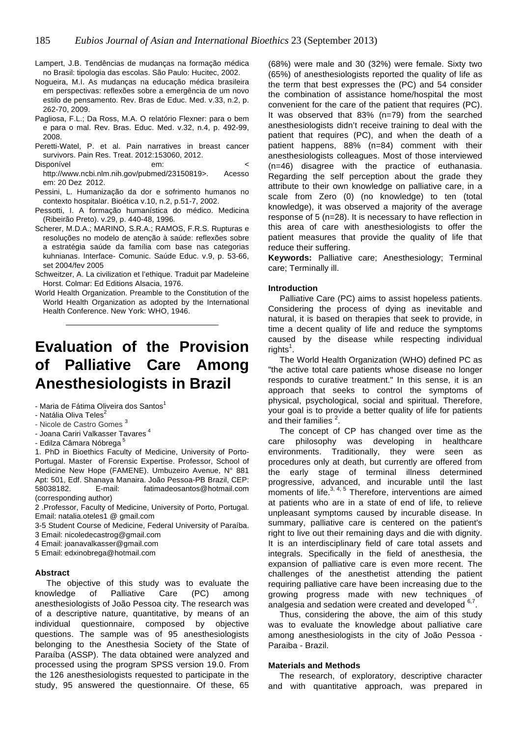- Lampert, J.B. Tendências de mudanças na formação médica no Brasil: tipologia das escolas. São Paulo: Hucitec, 2002.
- Nogueira, M.I. As mudanças na educação médica brasileira em perspectivas: reflexões sobre a emergência de um novo estilo de pensamento. Rev. Bras de Educ. Med. v.33, n.2, p. 262-70, 2009.
- Pagliosa, F.L.; Da Ross, M.A. O relatório Flexner: para o bem e para o mal. Rev. Bras. Educ. Med. v.32, n.4, p. 492-99, 2008.
- Peretti-Watel, P. et al. Pain narratives in breast cancer survivors. Pain Res. Treat. 2012:153060, 2012.

Disponível em: < http://www.ncbi.nlm.nih.gov/pubmed/23150819>. Acesso em: 20 Dez 2012.

- Pessini, L. Humanização da dor e sofrimento humanos no contexto hospitalar. Bioética v.10, n.2, p.51-7, 2002.
- Pessotti, I. A formação humanística do médico. Medicina (Ribeirão Preto). v.29, p. 440-48, 1996.
- Scherer, M.D.A.; MARINO, S.R.A.; RAMOS, F.R.S. Rupturas e resoluções no modelo de atenção à saúde: reflexões sobre a estratégia saúde da família com base nas categorias kuhnianas. Interface- Comunic. Saúde Educ. v.9, p. 53-66, set 2004/fev 2005
- Schweitzer, A. La civilization et l'ethique. Traduit par Madeleine Horst. Colmar: Ed Editions Alsacia, 1976.
- World Health Organization. Preamble to the Constitution of the World Health Organization as adopted by the International Health Conference. New York: WHO, 1946.

# **Evaluation of the Provision of Palliative Care Among Anesthesiologists in Brazil**

- Maria de Fátima Oliveira dos Santos<sup>1</sup>
- Natália Oliva Teles<sup>2</sup>
- Nicole de Castro Gomes<sup>3</sup>
- Joana Cariri Valkasser Tavares<sup>4</sup>
- Edilza Câmara Nóbrega<sup>5</sup>

1. PhD in Bioethics Faculty of Medicine, University of Porto-Portugal. Master of Forensic Expertise. Professor, School of Medicine New Hope (FAMENE). Umbuzeiro Avenue, N° 881 Apt: 501, Edf. Shanaya Manaira. João Pessoa-PB Brazil, CEP: 58038182. E-mail: fatimadeosantos@hotmail.com (corresponding author)

2 .Professor, Faculty of Medicine, University of Porto, Portugal. Email: natalia.oteles1 @ gmail.com

- 3-5 Student Course of Medicine, Federal University of Paraíba.
- 3 Email: nicoledecastrog@gmail.com
- 4 Email: joanavalkasser@gmail.com
- 5 Email: edxinobrega@hotmail.com

#### **Abstract**

The objective of this study was to evaluate the knowledge of Palliative Care (PC) among anesthesiologists of João Pessoa city. The research was of a descriptive nature, quantitative, by means of an individual questionnaire, composed by objective questions. The sample was of 95 anesthesiologists belonging to the Anesthesia Society of the State of Paraíba (ASSP). The data obtained were analyzed and processed using the program SPSS version 19.0. From the 126 anesthesiologists requested to participate in the study, 95 answered the questionnaire. Of these, 65

(68%) were male and 30 (32%) were female. Sixty two (65%) of anesthesiologists reported the quality of life as the term that best expresses the (PC) and 54 consider the combination of assistance home/hospital the most convenient for the care of the patient that requires (PC). It was observed that 83% (n=79) from the searched anesthesiologists didn't receive training to deal with the patient that requires (PC), and when the death of a patient happens, 88% (n=84) comment with their anesthesiologists colleagues. Most of those interviewed (n=46) disagree with the practice of euthanasia. Regarding the self perception about the grade they attribute to their own knowledge on palliative care, in a scale from Zero (0) (no knowledge) to ten (total knowledge), it was observed a majority of the average response of 5 (n=28). It is necessary to have reflection in this area of care with anesthesiologists to offer the patient measures that provide the quality of life that reduce their suffering.

**Keywords:** Palliative care; Anesthesiology; Terminal care; Terminally ill.

#### **Introduction**

Palliative Care (PC) aims to assist hopeless patients. Considering the process of dying as inevitable and natural, it is based on therapies that seek to provide, in time a decent quality of life and reduce the symptoms caused by the disease while respecting individual  $rights<sup>1</sup>$ .

The World Health Organization (WHO) defined PC as "the active total care patients whose disease no longer responds to curative treatment." In this sense, it is an approach that seeks to control the symptoms of physical, psychological, social and spiritual. Therefore, your goal is to provide a better quality of life for patients and their families  $2$ .

The concept of CP has changed over time as the care philosophy was developing in healthcare environments. Traditionally, they were seen as procedures only at death, but currently are offered from the early stage of terminal illness determined progressive, advanced, and incurable until the last moments of life. 3, 4, 5 Therefore, interventions are aimed at patients who are in a state of end of life, to relieve unpleasant symptoms caused by incurable disease. In summary, palliative care is centered on the patient's right to live out their remaining days and die with dignity. It is an interdisciplinary field of care total assets and integrals. Specifically in the field of anesthesia, the expansion of palliative care is even more recent. The challenges of the anesthetist attending the patient requiring palliative care have been increasing due to the growing progress made with new techniques of analgesia and sedation were created and developed 6,7.

Thus, considering the above, the aim of this study was to evaluate the knowledge about palliative care among anesthesiologists in the city of João Pessoa - Paraiba - Brazil.

#### **Materials and Methods**

The research, of exploratory, descriptive character and with quantitative approach, was prepared in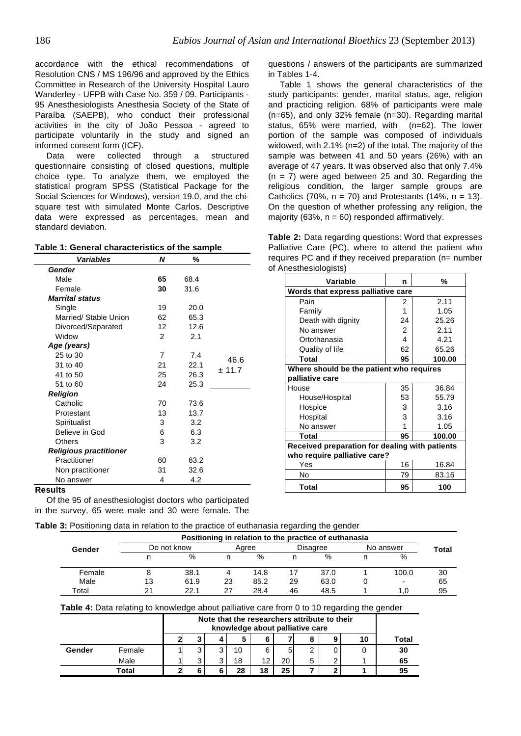accordance with the ethical recommendations of Resolution CNS / MS 196/96 and approved by the Ethics Committee in Research of the University Hospital Lauro Wanderley - UFPB with Case No. 359 / 09. Participants - 95 Anesthesiologists Anesthesia Society of the State of Paraíba (SAEPB), who conduct their professional activities in the city of João Pessoa - agreed to participate voluntarily in the study and signed an informed consent form (ICF).

Data were collected through a structured questionnaire consisting of closed questions, multiple choice type. To analyze them, we employed the statistical program SPSS (Statistical Package for the Social Sciences for Windows), version 19.0, and the chisquare test with simulated Monte Carlos. Descriptive data were expressed as percentages, mean and standard deviation.

| <b>Variables</b>              | N  | %    |        |
|-------------------------------|----|------|--------|
| Gender                        |    |      |        |
| Male                          | 65 | 68.4 |        |
| Female                        | 30 | 31.6 |        |
| <b>Marrital status</b>        |    |      |        |
| Single                        | 19 | 20.0 |        |
| Married/ Stable Union         | 62 | 65.3 |        |
| Divorced/Separated            | 12 | 12.6 |        |
| Widow                         | 2  | 2.1  |        |
| Age (years)                   |    |      |        |
| 25 to 30                      | 7  | 7.4  | 46.6   |
| 31 to 40                      | 21 | 22.1 | ± 11.7 |
| 41 to 50                      | 25 | 26.3 |        |
| 51 to 60                      | 24 | 25.3 |        |
| <b>Religion</b>               |    |      |        |
| Catholic                      | 70 | 73.6 |        |
| Protestant                    | 13 | 13.7 |        |
| Spiritualist                  | 3  | 3.2  |        |
| Believe in God                | 6  | 6.3  |        |
| Others                        | 3  | 3.2  |        |
| <b>Religious practitioner</b> |    |      |        |
| Practitioner                  | 60 | 63.2 |        |
| Non practitioner              | 31 | 32.6 |        |
| No answer                     | 4  | 4.2  |        |

questions / answers of the participants are summarized in Tables 1-4.

Table 1 shows the general characteristics of the study participants: gender, marital status, age, religion and practicing religion. 68% of participants were male (n=65), and only 32% female (n=30). Regarding marital status, 65% were married, with (n=62). The lower portion of the sample was composed of individuals widowed, with 2.1% (n=2) of the total. The majority of the sample was between 41 and 50 years (26%) with an average of 47 years. It was observed also that only 7.4%  $(n = 7)$  were aged between 25 and 30. Regarding the religious condition, the larger sample groups are Catholics (70%,  $n = 70$ ) and Protestants (14%,  $n = 13$ ). On the question of whether professing any religion, the majority (63%,  $n = 60$ ) responded affirmatively.

**Table 2:** Data regarding questions: Word that expresses Palliative Care (PC), where to attend the patient who requires PC and if they received preparation (n= number of Anesthesiologists)

| Variable                                       | n  | %      |  |  |  |  |
|------------------------------------------------|----|--------|--|--|--|--|
| Words that express palliative care             |    |        |  |  |  |  |
| Pain                                           | 2  | 2.11   |  |  |  |  |
| Family                                         | 1  | 1.05   |  |  |  |  |
| Death with dignity                             | 24 | 25.26  |  |  |  |  |
| No answer                                      | 2  | 2.11   |  |  |  |  |
| Ortothanasia                                   | 4  | 4.21   |  |  |  |  |
| Quality of life                                | 62 | 65.26  |  |  |  |  |
| Total                                          | 95 | 100.00 |  |  |  |  |
| Where should be the patient who requires       |    |        |  |  |  |  |
| palliative care                                |    |        |  |  |  |  |
| House                                          | 35 | 36.84  |  |  |  |  |
| House/Hospital                                 | 53 | 55.79  |  |  |  |  |
| Hospice                                        | 3  | 3.16   |  |  |  |  |
| Hospital                                       | 3  | 3.16   |  |  |  |  |
| No answer                                      | 1  | 1.05   |  |  |  |  |
| <b>Total</b>                                   | 95 | 100.00 |  |  |  |  |
| Received preparation for dealing with patients |    |        |  |  |  |  |
| who require palliative care?                   |    |        |  |  |  |  |
| Yes                                            | 16 | 16.84  |  |  |  |  |
| No                                             | 79 | 83.16  |  |  |  |  |
| Total                                          | 95 | 100    |  |  |  |  |

#### **Results**

Of the 95 of anesthesiologist doctors who participated in the survey, 65 were male and 30 were female. The

# **Table 3:** Positioning data in relation to the practice of euthanasia regarding the gender

|        |    |             |    |       |    | Positioning in relation to the practice of euthanasia |                          |       |
|--------|----|-------------|----|-------|----|-------------------------------------------------------|--------------------------|-------|
| Gender |    | Do not know |    | Aaree |    | Disagree                                              | No answer                | Total |
|        |    | %           |    | %     | n  | %                                                     | %                        |       |
| Female |    | 38.1        |    | 14.8  |    | 37.0                                                  | 100.0                    | 30    |
| Male   | 13 | 61.9        | 23 | 85.2  | 29 | 63.0                                                  | $\overline{\phantom{a}}$ | 65    |
| Total  | 21 | 22.1        | 27 | 28.4  | 46 | 48.5                                                  | 1.0                      | 95    |

#### **Table 4:** Data relating to knowledge about palliative care from 0 to 10 regarding the gender

|        |        | Note that the researchers attribute to their<br>knowledge about palliative care |   |    |    |    |   |  |    |       |
|--------|--------|---------------------------------------------------------------------------------|---|----|----|----|---|--|----|-------|
|        |        |                                                                                 |   | 5  |    |    | 8 |  | 10 | Total |
| Gender | Female | ົ                                                                               | ◠ | 10 | 6  | 5  | 2 |  |    | 30    |
|        | Male   |                                                                                 |   | 18 |    | 20 | 5 |  |    | 65    |
|        | Total  |                                                                                 |   | 28 | 18 | 25 |   |  |    | 95    |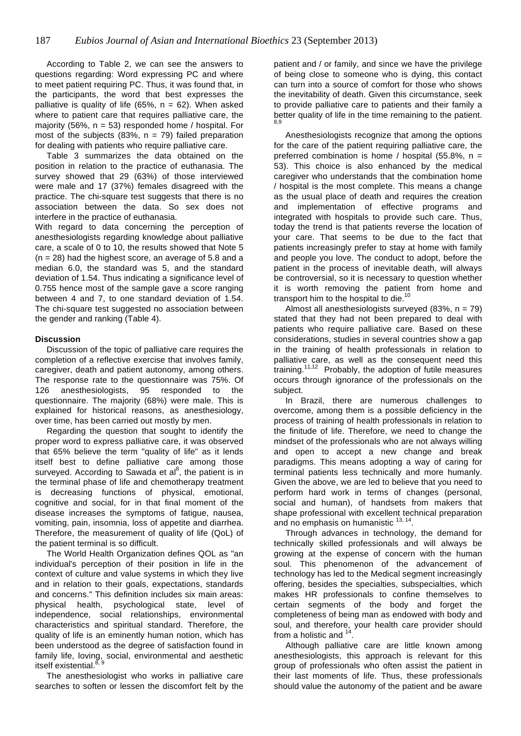According to Table 2, we can see the answers to questions regarding: Word expressing PC and where to meet patient requiring PC. Thus, it was found that, in the participants, the word that best expresses the palliative is quality of life (65%,  $n = 62$ ). When asked where to patient care that requires palliative care, the majority (56%,  $n = 53$ ) responded home / hospital. For most of the subjects (83%,  $n = 79$ ) failed preparation for dealing with patients who require palliative care.

Table 3 summarizes the data obtained on the position in relation to the practice of euthanasia. The survey showed that 29 (63%) of those interviewed were male and 17 (37%) females disagreed with the practice. The chi-square test suggests that there is no association between the data. So sex does not interfere in the practice of euthanasia.

With regard to data concerning the perception of anesthesiologists regarding knowledge about palliative care, a scale of 0 to 10, the results showed that Note 5  $(n = 28)$  had the highest score, an average of 5.8 and a median 6.0, the standard was 5, and the standard deviation of 1.54. Thus indicating a significance level of 0.755 hence most of the sample gave a score ranging between 4 and 7, to one standard deviation of 1.54. The chi-square test suggested no association between the gender and ranking (Table 4).

# **Discussion**

Discussion of the topic of palliative care requires the completion of a reflective exercise that involves family, caregiver, death and patient autonomy, among others. The response rate to the questionnaire was 75%. Of 126 anesthesiologists, 95 responded to the questionnaire. The majority (68%) were male. This is explained for historical reasons, as anesthesiology, over time, has been carried out mostly by men.

Regarding the question that sought to identify the proper word to express palliative care, it was observed that 65% believe the term "quality of life" as it lends itself best to define palliative care among those surveyed. According to Sawada et al $^{8}$ , the patient is in the terminal phase of life and chemotherapy treatment is decreasing functions of physical, emotional, cognitive and social, for in that final moment of the disease increases the symptoms of fatigue, nausea, vomiting, pain, insomnia, loss of appetite and diarrhea. Therefore, the measurement of quality of life (QoL) of the patient terminal is so difficult.

The World Health Organization defines QOL as "an individual's perception of their position in life in the context of culture and value systems in which they live and in relation to their goals, expectations, standards and concerns." This definition includes six main areas: physical health, psychological state, level of independence, social relationships, environmental characteristics and spiritual standard. Therefore, the quality of life is an eminently human notion, which has been understood as the degree of satisfaction found in family life, loving, social, environmental and aesthetic itself existential.<sup>8, 9</sup>

The anesthesiologist who works in palliative care searches to soften or lessen the discomfort felt by the patient and / or family, and since we have the privilege of being close to someone who is dying, this contact can turn into a source of comfort for those who shows the inevitability of death. Given this circumstance, seek to provide palliative care to patients and their family a better quality of life in the time remaining to the patient.

Anesthesiologists recognize that among the options for the care of the patient requiring palliative care, the preferred combination is home / hospital (55.8%,  $n =$ 53). This choice is also enhanced by the medical caregiver who understands that the combination home / hospital is the most complete. This means a change as the usual place of death and requires the creation and implementation of effective programs and integrated with hospitals to provide such care. Thus, today the trend is that patients reverse the location of your care. That seems to be due to the fact that patients increasingly prefer to stay at home with family and people you love. The conduct to adopt, before the patient in the process of inevitable death, will always be controversial, so it is necessary to question whether it is worth removing the patient from home and transport him to the hospital to die.<sup>10</sup>

Almost all anesthesiologists surveyed  $(83\% , n = 79)$ stated that they had not been prepared to deal with patients who require palliative care. Based on these considerations, studies in several countries show a gap in the training of health professionals in relation to palliative care, as well as the consequent need this training.<sup>11,12</sup> Probably, the adoption of futile measures occurs through ignorance of the professionals on the subject.

In Brazil, there are numerous challenges to overcome, among them is a possible deficiency in the process of training of health professionals in relation to the finitude of life. Therefore, we need to change the mindset of the professionals who are not always willing and open to accept a new change and break paradigms. This means adopting a way of caring for terminal patients less technically and more humanly. Given the above, we are led to believe that you need to perform hard work in terms of changes (personal, social and human), of handsets from makers that shape professional with excellent technical preparation and no emphasis on humanistic  $13, 14$ .

Through advances in technology, the demand for technically skilled professionals and will always be growing at the expense of concern with the human soul. This phenomenon of the advancement of technology has led to the Medical segment increasingly offering, besides the specialties, subspecialties, which makes HR professionals to confine themselves to certain segments of the body and forget the completeness of being man as endowed with body and soul, and therefore, your health care provider should from a holistic and  $<sup>1</sup>$ </sup>

Although palliative care are little known among anesthesiologists, this approach is relevant for this group of professionals who often assist the patient in their last moments of life. Thus, these professionals should value the autonomy of the patient and be aware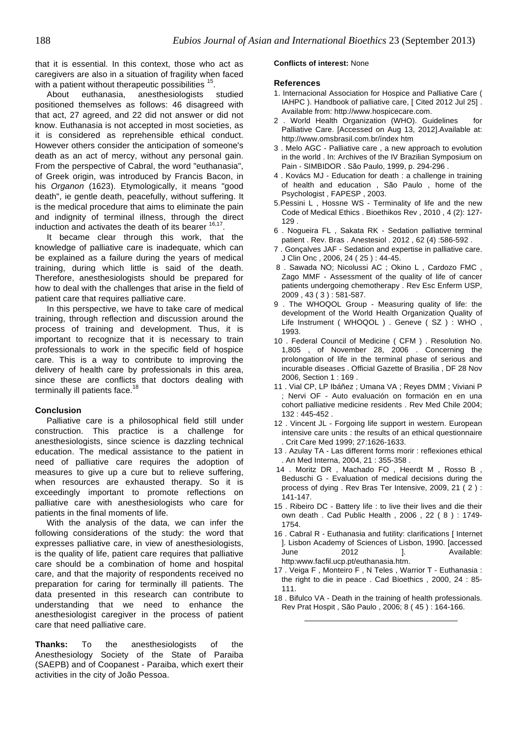that it is essential. In this context, those who act as caregivers are also in a situation of fragility when faced with a patient without therapeutic possibilities <sup>15</sup>.

About euthanasia, anesthesiologists studied positioned themselves as follows: 46 disagreed with that act, 27 agreed, and 22 did not answer or did not know. Euthanasia is not accepted in most societies, as it is considered as reprehensible ethical conduct. However others consider the anticipation of someone's death as an act of mercy, without any personal gain. From the perspective of Cabral, the word "euthanasia", of Greek origin, was introduced by Francis Bacon, in his Organon (1623). Etymologically, it means "good death", ie gentle death, peacefully, without suffering. It is the medical procedure that aims to eliminate the pain and indignity of terminal illness, through the direct induction and activates the death of its bearer <sup>16,17</sup>.

It became clear through this work, that the knowledge of palliative care is inadequate, which can be explained as a failure during the years of medical training, during which little is said of the death. Therefore, anesthesiologists should be prepared for how to deal with the challenges that arise in the field of patient care that requires palliative care.

In this perspective, we have to take care of medical training, through reflection and discussion around the process of training and development. Thus, it is important to recognize that it is necessary to train professionals to work in the specific field of hospice care. This is a way to contribute to improving the delivery of health care by professionals in this area, since these are conflicts that doctors dealing with terminally ill patients face.<sup>18</sup>

# **Conclusion**

Palliative care is a philosophical field still under construction. This practice is a challenge for anesthesiologists, since science is dazzling technical education. The medical assistance to the patient in need of palliative care requires the adoption of measures to give up a cure but to relieve suffering, when resources are exhausted therapy. So it is exceedingly important to promote reflections on palliative care with anesthesiologists who care for patients in the final moments of life.

With the analysis of the data, we can infer the following considerations of the study: the word that expresses palliative care, in view of anesthesiologists, is the quality of life, patient care requires that palliative care should be a combination of home and hospital care, and that the majority of respondents received no preparation for caring for terminally ill patients. The data presented in this research can contribute to understanding that we need to enhance the anesthesiologist caregiver in the process of patient care that need palliative care.

**Thanks:** To the anesthesiologists of the Anesthesiology Society of the State of Paraiba (SAEPB) and of Coopanest - Paraiba, which exert their activities in the city of João Pessoa.

#### **Conflicts of interest:** None

#### **References**

- 1. Internacional Association for Hospice and Palliative Care ( IAHPC ). Handbook of palliative care, [ Cited 2012 Jul 25] . Available from: http://www.hospicecare.com.
- 2 . World Health Organization (WHO). Guidelines for Palliative Care. [Accessed on Aug 13, 2012].Available at: http://www.omsbrasil.com.br/índex htm
- 3 . Melo AGC Palliative care , a new approach to evolution in the world . In: Archives of the IV Brazilian Symposium on Pain - SIMBIDOR . São Paulo, 1999, p. 294-296 .
- 4 . Kovács MJ Education for death : a challenge in training of health and education , São Paulo , home of the Psychologist , FAPESP , 2003.
- 5.Pessini L , Hossne WS Terminality of life and the new Code of Medical Ethics . Bioethikos Rev , 2010 , 4 (2): 127- 129 .
- 6 . Nogueira FL , Sakata RK Sedation palliative terminal patient . Rev. Bras . Anestesiol . 2012 , 62 (4) :586-592 .
- 7 . Gonçalves JAF Sedation and expertise in palliative care. J Clin Onc , 2006, 24 ( 25 ) : 44-45.
- 8 . Sawada NO; Nicolussi AC ; Okino L , Cardozo FMC , Zago MMF - Assessment of the quality of life of cancer patients undergoing chemotherapy . Rev Esc Enferm USP, 2009 , 43 ( 3 ) : 581-587.
- 9 . The WHOQOL Group Measuring quality of life: the development of the World Health Organization Quality of Life Instrument ( WHOQOL ) . Geneve ( SZ ) : WHO, 1993.
- 10 . Federal Council of Medicine ( CFM ) . Resolution No. 1,805 , of November 28, 2006 . Concerning the prolongation of life in the terminal phase of serious and incurable diseases . Official Gazette of Brasilia , DF 28 Nov 2006, Section 1 : 169 .
- 11 . Vial CP, LP Ibáñez ; Umana VA ; Reyes DMM ; Viviani P ; Nervi OF - Auto evaluación on formación en en una cohort palliative medicine residents . Rev Med Chile 2004; 132 : 445-452 .
- 12 . Vincent JL Forgoing life support in western. European intensive care units : the results of an ethical questionnaire . Crit Care Med 1999; 27:1626-1633.
- 13 . Azulay TA Las different forms morir : reflexiones ethical . An Med Interna, 2004, 21 : 355-358 .
- 14 . Moritz DR , Machado FO , Heerdt M , Rosso B , Beduschi G - Evaluation of medical decisions during the process of dying . Rev Bras Ter Intensive, 2009, 21 ( 2 ) : 141-147.
- 15 . Ribeiro DC Battery life : to live their lives and die their own death . Cad Public Health , 2006 , 22 ( 8 ) : 1749- 1754.
- 16 . Cabral R Euthanasia and futility: clarifications [ Internet ]. Lisbon Academy of Sciences of Lisbon, 1990. [accessed June 2012 1. Available: http:www.facfil.ucp.pt/euthanasia.htm.
- 17 . Veiga F , Monteiro F , N Teles , Warrior T Euthanasia : the right to die in peace . Cad Bioethics , 2000, 24 : 85- 111.
- 18 . Bifulco VA Death in the training of health professionals. Rev Prat Hospit , São Paulo , 2006; 8 ( 45 ) : 164-166.